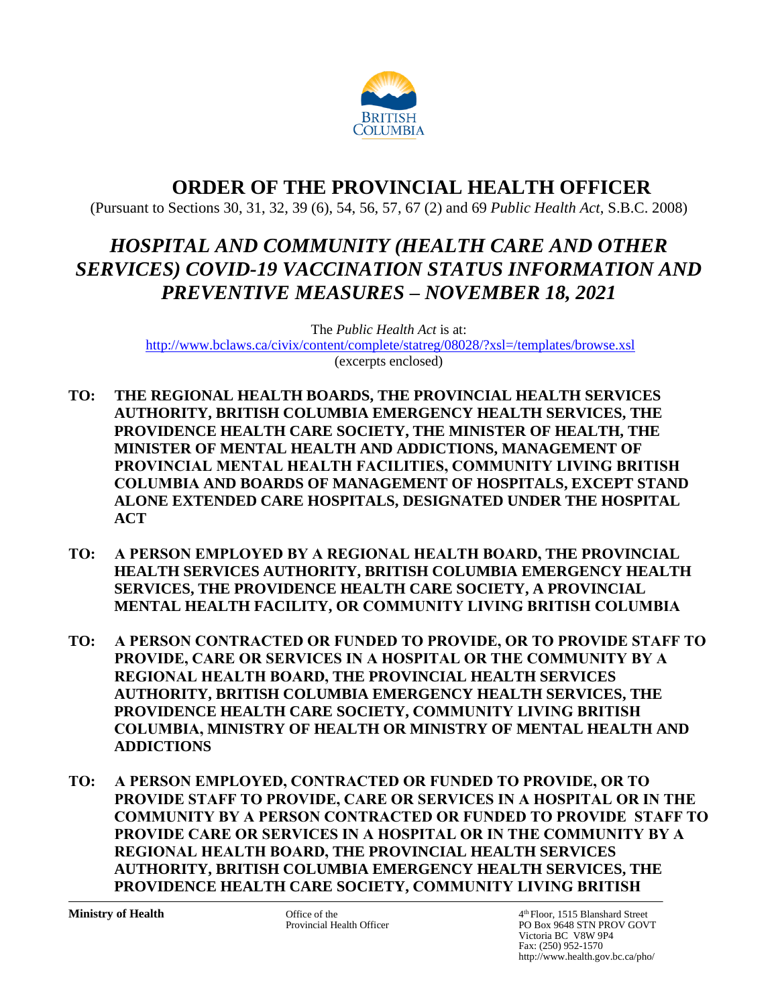

# **ORDER OF THE PROVINCIAL HEALTH OFFICER**  (Pursuant to Sections 30, 31, 32, 39 (6), 54, 56, 57, 67 (2) and 69 *Public Health Act*, S.B.C. 2008)

# *HOSPITAL AND COMMUNITY (HEALTH CARE AND OTHER SERVICES) COVID-19 VACCINATION STATUS INFORMATION AND PREVENTIVE MEASURES – NOVEMBER 18, 2021*

The *Public Health Act* is at: <http://www.bclaws.ca/civix/content/complete/statreg/08028/?xsl=/templates/browse.xsl> (excerpts enclosed)

- **TO: THE REGIONAL HEALTH BOARDS, THE PROVINCIAL HEALTH SERVICES AUTHORITY, BRITISH COLUMBIA EMERGENCY HEALTH SERVICES, THE PROVIDENCE HEALTH CARE SOCIETY, THE MINISTER OF HEALTH, THE MINISTER OF MENTAL HEALTH AND ADDICTIONS, MANAGEMENT OF PROVINCIAL MENTAL HEALTH FACILITIES, COMMUNITY LIVING BRITISH COLUMBIA AND BOARDS OF MANAGEMENT OF HOSPITALS, EXCEPT STAND ALONE EXTENDED CARE HOSPITALS, DESIGNATED UNDER THE HOSPITAL ACT**
- **TO: A PERSON EMPLOYED BY A REGIONAL HEALTH BOARD, THE PROVINCIAL HEALTH SERVICES AUTHORITY, BRITISH COLUMBIA EMERGENCY HEALTH SERVICES, THE PROVIDENCE HEALTH CARE SOCIETY, A PROVINCIAL MENTAL HEALTH FACILITY, OR COMMUNITY LIVING BRITISH COLUMBIA**
- **TO: A PERSON CONTRACTED OR FUNDED TO PROVIDE, OR TO PROVIDE STAFF TO PROVIDE, CARE OR SERVICES IN A HOSPITAL OR THE COMMUNITY BY A REGIONAL HEALTH BOARD, THE PROVINCIAL HEALTH SERVICES AUTHORITY, BRITISH COLUMBIA EMERGENCY HEALTH SERVICES, THE PROVIDENCE HEALTH CARE SOCIETY, COMMUNITY LIVING BRITISH COLUMBIA, MINISTRY OF HEALTH OR MINISTRY OF MENTAL HEALTH AND ADDICTIONS**
- **TO: A PERSON EMPLOYED, CONTRACTED OR FUNDED TO PROVIDE, OR TO PROVIDE STAFF TO PROVIDE, CARE OR SERVICES IN A HOSPITAL OR IN THE COMMUNITY BY A PERSON CONTRACTED OR FUNDED TO PROVIDE STAFF TO PROVIDE CARE OR SERVICES IN A HOSPITAL OR IN THE COMMUNITY BY A REGIONAL HEALTH BOARD, THE PROVINCIAL HEALTH SERVICES AUTHORITY, BRITISH COLUMBIA EMERGENCY HEALTH SERVICES, THE PROVIDENCE HEALTH CARE SOCIETY, COMMUNITY LIVING BRITISH**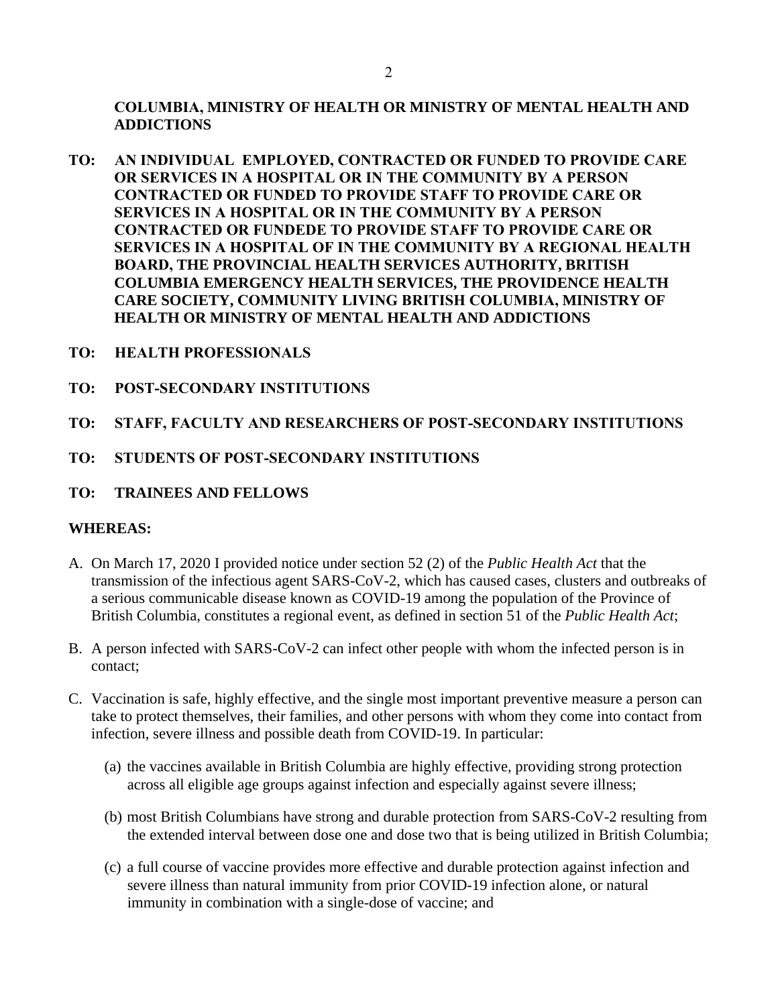**COLUMBIA, MINISTRY OF HEALTH OR MINISTRY OF MENTAL HEALTH AND ADDICTIONS**

- **TO: AN INDIVIDUAL EMPLOYED, CONTRACTED OR FUNDED TO PROVIDE CARE OR SERVICES IN A HOSPITAL OR IN THE COMMUNITY BY A PERSON CONTRACTED OR FUNDED TO PROVIDE STAFF TO PROVIDE CARE OR SERVICES IN A HOSPITAL OR IN THE COMMUNITY BY A PERSON CONTRACTED OR FUNDEDE TO PROVIDE STAFF TO PROVIDE CARE OR SERVICES IN A HOSPITAL OF IN THE COMMUNITY BY A REGIONAL HEALTH BOARD, THE PROVINCIAL HEALTH SERVICES AUTHORITY, BRITISH COLUMBIA EMERGENCY HEALTH SERVICES, THE PROVIDENCE HEALTH CARE SOCIETY, COMMUNITY LIVING BRITISH COLUMBIA, MINISTRY OF HEALTH OR MINISTRY OF MENTAL HEALTH AND ADDICTIONS**
- **TO: HEALTH PROFESSIONALS**
- **TO: POST-SECONDARY INSTITUTIONS**
- **TO: STAFF, FACULTY AND RESEARCHERS OF POST-SECONDARY INSTITUTIONS**
- **TO: STUDENTS OF POST-SECONDARY INSTITUTIONS**
- **TO: TRAINEES AND FELLOWS**

### **WHEREAS:**

- A. On March 17, 2020 I provided notice under section 52 (2) of the *Public Health Act* that the transmission of the infectious agent SARS-CoV-2, which has caused cases, clusters and outbreaks of a serious communicable disease known as COVID-19 among the population of the Province of British Columbia, constitutes a regional event, as defined in section 51 of the *Public Health Act*;
- B. A person infected with SARS-CoV-2 can infect other people with whom the infected person is in contact;
- C. Vaccination is safe, highly effective, and the single most important preventive measure a person can take to protect themselves, their families, and other persons with whom they come into contact from infection, severe illness and possible death from COVID-19. In particular:
	- (a) the vaccines available in British Columbia are highly effective, providing strong protection across all eligible age groups against infection and especially against severe illness;
	- (b) most British Columbians have strong and durable protection from SARS-CoV-2 resulting from the extended interval between dose one and dose two that is being utilized in British Columbia;
	- (c) a full course of vaccine provides more effective and durable protection against infection and severe illness than natural immunity from prior COVID-19 infection alone, or natural immunity in combination with a single-dose of vaccine; and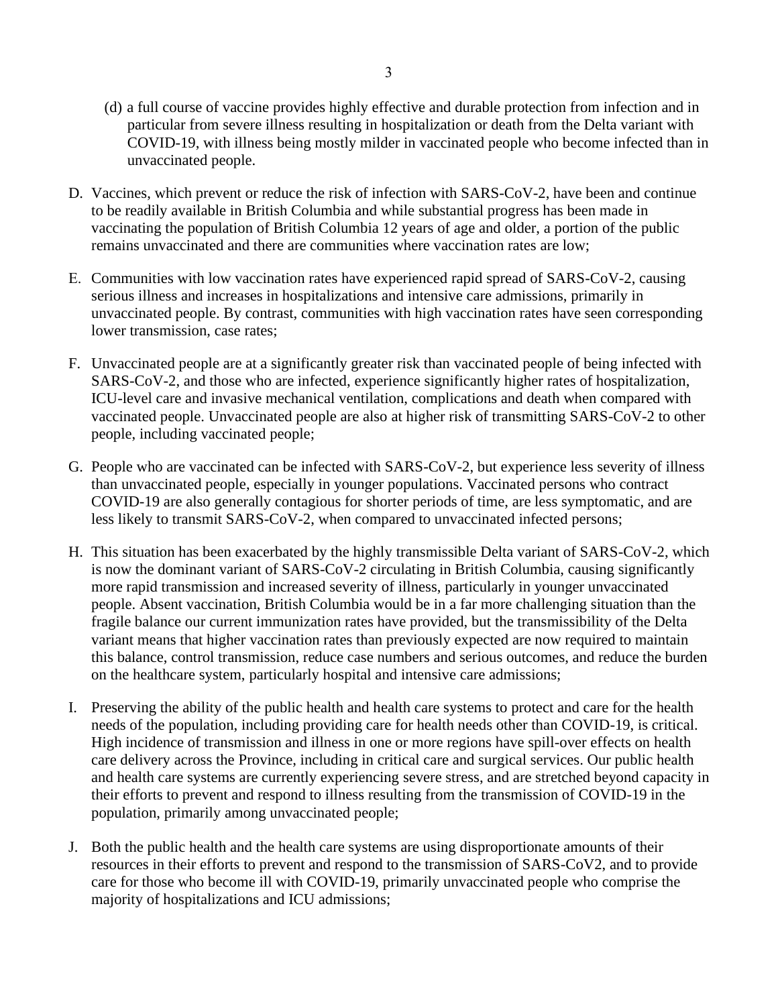- (d) a full course of vaccine provides highly effective and durable protection from infection and in particular from severe illness resulting in hospitalization or death from the Delta variant with COVID-19, with illness being mostly milder in vaccinated people who become infected than in unvaccinated people.
- D. Vaccines, which prevent or reduce the risk of infection with SARS-CoV-2, have been and continue to be readily available in British Columbia and while substantial progress has been made in vaccinating the population of British Columbia 12 years of age and older, a portion of the public remains unvaccinated and there are communities where vaccination rates are low;
- E. Communities with low vaccination rates have experienced rapid spread of SARS-CoV-2, causing serious illness and increases in hospitalizations and intensive care admissions, primarily in unvaccinated people. By contrast, communities with high vaccination rates have seen corresponding lower transmission, case rates;
- F. Unvaccinated people are at a significantly greater risk than vaccinated people of being infected with SARS-CoV-2, and those who are infected, experience significantly higher rates of hospitalization, ICU-level care and invasive mechanical ventilation, complications and death when compared with vaccinated people. Unvaccinated people are also at higher risk of transmitting SARS-CoV-2 to other people, including vaccinated people;
- G. People who are vaccinated can be infected with SARS-CoV-2, but experience less severity of illness than unvaccinated people, especially in younger populations. Vaccinated persons who contract COVID-19 are also generally contagious for shorter periods of time, are less symptomatic, and are less likely to transmit SARS-CoV-2, when compared to unvaccinated infected persons;
- H. This situation has been exacerbated by the highly transmissible Delta variant of SARS-CoV-2, which is now the dominant variant of SARS-CoV-2 circulating in British Columbia, causing significantly more rapid transmission and increased severity of illness, particularly in younger unvaccinated people. Absent vaccination, British Columbia would be in a far more challenging situation than the fragile balance our current immunization rates have provided, but the transmissibility of the Delta variant means that higher vaccination rates than previously expected are now required to maintain this balance, control transmission, reduce case numbers and serious outcomes, and reduce the burden on the healthcare system, particularly hospital and intensive care admissions;
- I. Preserving the ability of the public health and health care systems to protect and care for the health needs of the population, including providing care for health needs other than COVID-19, is critical. High incidence of transmission and illness in one or more regions have spill-over effects on health care delivery across the Province, including in critical care and surgical services. Our public health and health care systems are currently experiencing severe stress, and are stretched beyond capacity in their efforts to prevent and respond to illness resulting from the transmission of COVID-19 in the population, primarily among unvaccinated people;
- J. Both the public health and the health care systems are using disproportionate amounts of their resources in their efforts to prevent and respond to the transmission of SARS-CoV2, and to provide care for those who become ill with COVID-19, primarily unvaccinated people who comprise the majority of hospitalizations and ICU admissions;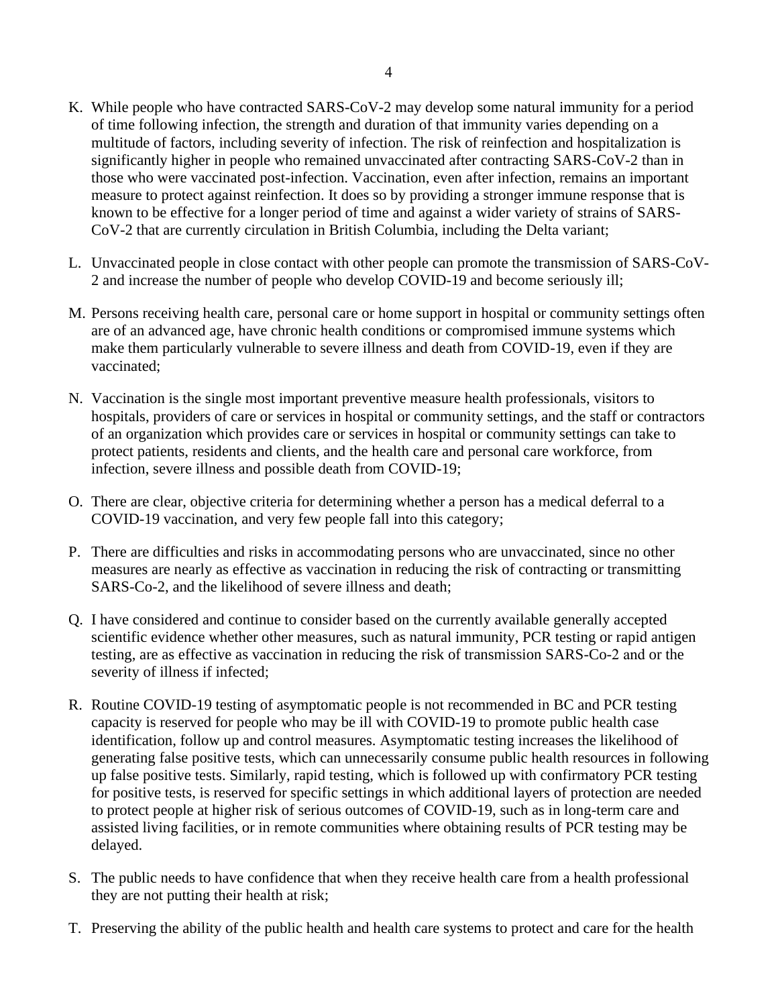- K. While people who have contracted SARS-CoV-2 may develop some natural immunity for a period of time following infection, the strength and duration of that immunity varies depending on a multitude of factors, including severity of infection. The risk of reinfection and hospitalization is significantly higher in people who remained unvaccinated after contracting SARS-CoV-2 than in those who were vaccinated post-infection. Vaccination, even after infection, remains an important measure to protect against reinfection. It does so by providing a stronger immune response that is known to be effective for a longer period of time and against a wider variety of strains of SARS-CoV-2 that are currently circulation in British Columbia, including the Delta variant;
- L. Unvaccinated people in close contact with other people can promote the transmission of SARS-CoV-2 and increase the number of people who develop COVID-19 and become seriously ill;
- M. Persons receiving health care, personal care or home support in hospital or community settings often are of an advanced age, have chronic health conditions or compromised immune systems which make them particularly vulnerable to severe illness and death from COVID-19, even if they are vaccinated;
- N. Vaccination is the single most important preventive measure health professionals, visitors to hospitals, providers of care or services in hospital or community settings, and the staff or contractors of an organization which provides care or services in hospital or community settings can take to protect patients, residents and clients, and the health care and personal care workforce, from infection, severe illness and possible death from COVID-19;
- O. There are clear, objective criteria for determining whether a person has a medical deferral to a COVID-19 vaccination, and very few people fall into this category;
- P. There are difficulties and risks in accommodating persons who are unvaccinated, since no other measures are nearly as effective as vaccination in reducing the risk of contracting or transmitting SARS-Co-2, and the likelihood of severe illness and death;
- Q. I have considered and continue to consider based on the currently available generally accepted scientific evidence whether other measures, such as natural immunity, PCR testing or rapid antigen testing, are as effective as vaccination in reducing the risk of transmission SARS-Co-2 and or the severity of illness if infected;
- R. Routine COVID-19 testing of asymptomatic people is not recommended in BC and PCR testing capacity is reserved for people who may be ill with COVID-19 to promote public health case identification, follow up and control measures. Asymptomatic testing increases the likelihood of generating false positive tests, which can unnecessarily consume public health resources in following up false positive tests. Similarly, rapid testing, which is followed up with confirmatory PCR testing for positive tests, is reserved for specific settings in which additional layers of protection are needed to protect people at higher risk of serious outcomes of COVID-19, such as in long-term care and assisted living facilities, or in remote communities where obtaining results of PCR testing may be delayed.
- S. The public needs to have confidence that when they receive health care from a health professional they are not putting their health at risk;
- T. Preserving the ability of the public health and health care systems to protect and care for the health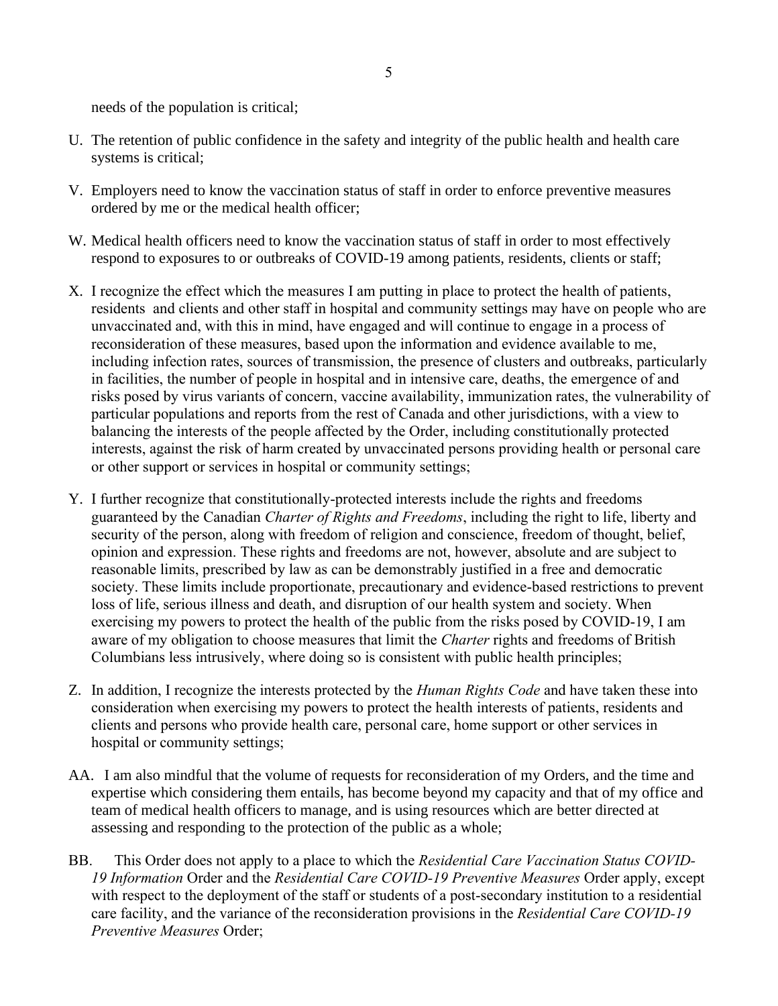needs of the population is critical;

- U. The retention of public confidence in the safety and integrity of the public health and health care systems is critical;
- V. Employers need to know the vaccination status of staff in order to enforce preventive measures ordered by me or the medical health officer;
- W. Medical health officers need to know the vaccination status of staff in order to most effectively respond to exposures to or outbreaks of COVID-19 among patients, residents, clients or staff;
- X. I recognize the effect which the measures I am putting in place to protect the health of patients, residents and clients and other staff in hospital and community settings may have on people who are unvaccinated and, with this in mind, have engaged and will continue to engage in a process of reconsideration of these measures, based upon the information and evidence available to me, including infection rates, sources of transmission, the presence of clusters and outbreaks, particularly in facilities, the number of people in hospital and in intensive care, deaths, the emergence of and risks posed by virus variants of concern, vaccine availability, immunization rates, the vulnerability of particular populations and reports from the rest of Canada and other jurisdictions, with a view to balancing the interests of the people affected by the Order, including constitutionally protected interests, against the risk of harm created by unvaccinated persons providing health or personal care or other support or services in hospital or community settings;
- Y. I further recognize that constitutionally-protected interests include the rights and freedoms guaranteed by the Canadian *Charter of Rights and Freedoms*, including the right to life, liberty and security of the person, along with freedom of religion and conscience, freedom of thought, belief, opinion and expression. These rights and freedoms are not, however, absolute and are subject to reasonable limits, prescribed by law as can be demonstrably justified in a free and democratic society. These limits include proportionate, precautionary and evidence-based restrictions to prevent loss of life, serious illness and death, and disruption of our health system and society. When exercising my powers to protect the health of the public from the risks posed by COVID-19, I am aware of my obligation to choose measures that limit the *Charter* rights and freedoms of British Columbians less intrusively, where doing so is consistent with public health principles;
- Z. In addition, I recognize the interests protected by the *Human Rights Code* and have taken these into consideration when exercising my powers to protect the health interests of patients, residents and clients and persons who provide health care, personal care, home support or other services in hospital or community settings;
- AA. I am also mindful that the volume of requests for reconsideration of my Orders, and the time and expertise which considering them entails, has become beyond my capacity and that of my office and team of medical health officers to manage, and is using resources which are better directed at assessing and responding to the protection of the public as a whole;
- BB. This Order does not apply to a place to which the *Residential Care Vaccination Status COVID-19 Information* Order and the *Residential Care COVID-19 Preventive Measures* Order apply, except with respect to the deployment of the staff or students of a post-secondary institution to a residential care facility, and the variance of the reconsideration provisions in the *Residential Care COVID-19 Preventive Measures* Order;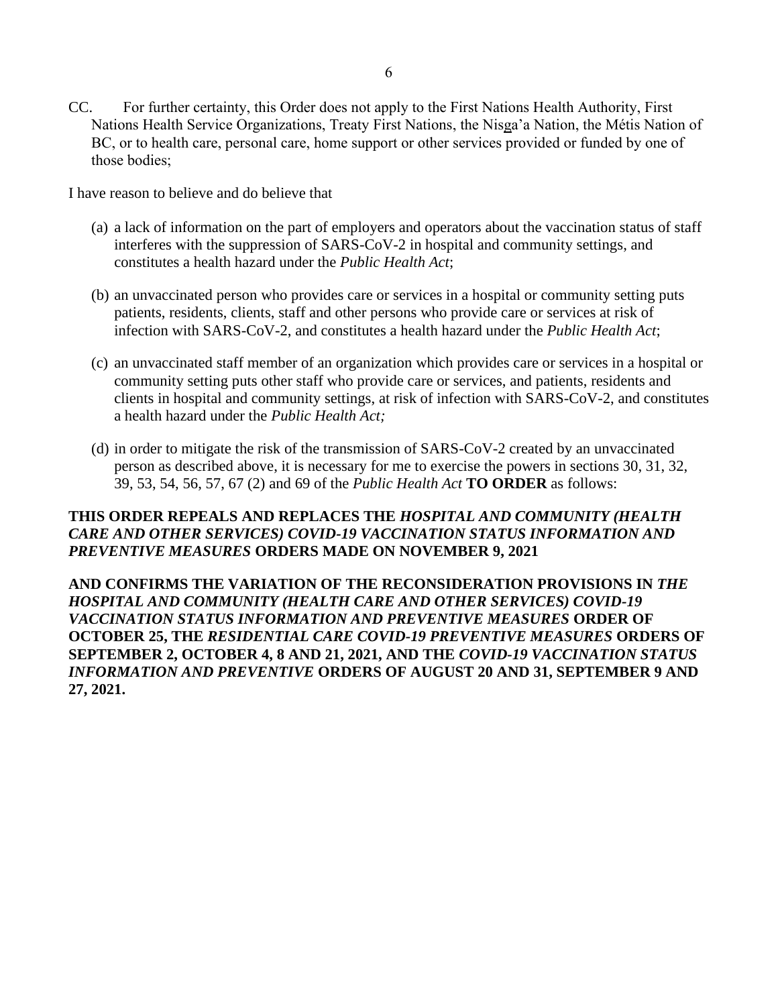CC. For further certainty, this Order does not apply to the First Nations Health Authority, First Nations Health Service Organizations, Treaty First Nations, the Nisga'a Nation, the Métis Nation of BC, or to health care, personal care, home support or other services provided or funded by one of those bodies;

I have reason to believe and do believe that

- (a) a lack of information on the part of employers and operators about the vaccination status of staff interferes with the suppression of SARS-CoV-2 in hospital and community settings, and constitutes a health hazard under the *Public Health Act*;
- (b) an unvaccinated person who provides care or services in a hospital or community setting puts patients, residents, clients, staff and other persons who provide care or services at risk of infection with SARS-CoV-2, and constitutes a health hazard under the *Public Health Act*;
- (c) an unvaccinated staff member of an organization which provides care or services in a hospital or community setting puts other staff who provide care or services, and patients, residents and clients in hospital and community settings, at risk of infection with SARS-CoV-2, and constitutes a health hazard under the *Public Health Act;*
- (d) in order to mitigate the risk of the transmission of SARS-CoV-2 created by an unvaccinated person as described above, it is necessary for me to exercise the powers in sections 30, 31, 32, 39, 53, 54, 56, 57, 67 (2) and 69 of the *Public Health Act* **TO ORDER** as follows:

# **THIS ORDER REPEALS AND REPLACES THE** *HOSPITAL AND COMMUNITY (HEALTH CARE AND OTHER SERVICES) COVID-19 VACCINATION STATUS INFORMATION AND PREVENTIVE MEASURES* **ORDERS MADE ON NOVEMBER 9, 2021**

**AND CONFIRMS THE VARIATION OF THE RECONSIDERATION PROVISIONS IN** *THE HOSPITAL AND COMMUNITY (HEALTH CARE AND OTHER SERVICES) COVID-19 VACCINATION STATUS INFORMATION AND PREVENTIVE MEASURES* **ORDER OF OCTOBER 25, THE** *RESIDENTIAL CARE COVID-19 PREVENTIVE MEASURES* **ORDERS OF SEPTEMBER 2, OCTOBER 4, 8 AND 21, 2021, AND THE** *COVID-19 VACCINATION STATUS INFORMATION AND PREVENTIVE* **ORDERS OF AUGUST 20 AND 31, SEPTEMBER 9 AND 27, 2021.**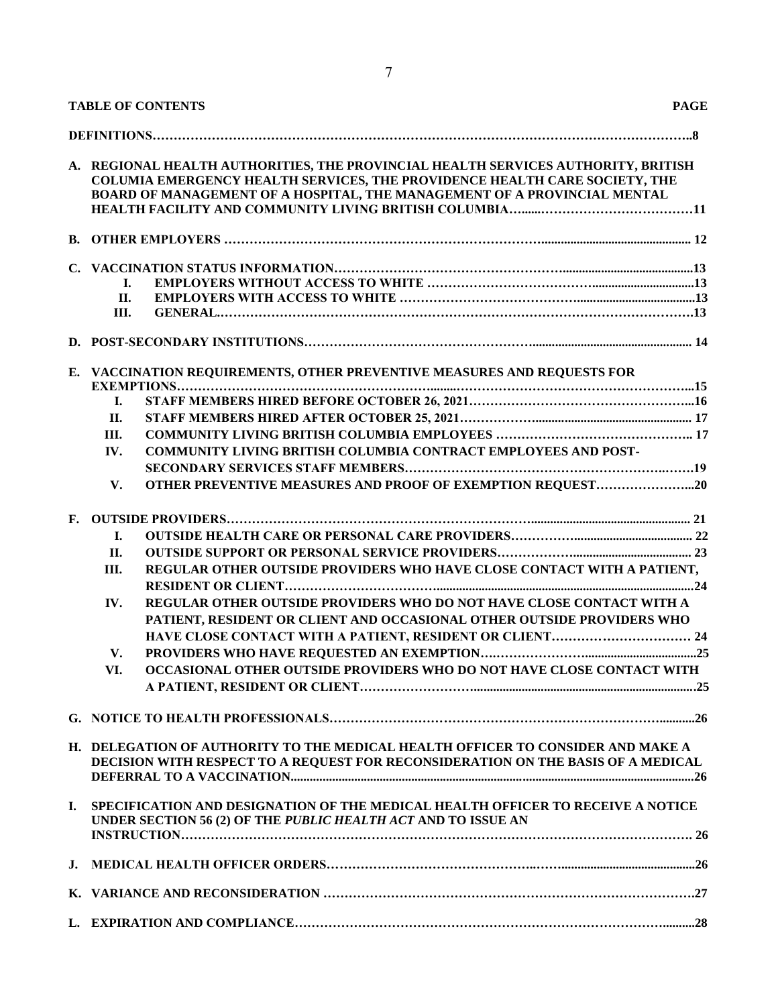| <b>TABLE OF CONTENTS</b><br><b>PAGE</b> |                                                                                                                                                                                                                                             |                                                                        |  |  |
|-----------------------------------------|---------------------------------------------------------------------------------------------------------------------------------------------------------------------------------------------------------------------------------------------|------------------------------------------------------------------------|--|--|
|                                         |                                                                                                                                                                                                                                             |                                                                        |  |  |
|                                         | A. REGIONAL HEALTH AUTHORITIES, THE PROVINCIAL HEALTH SERVICES AUTHORITY, BRITISH<br>COLUMIA EMERGENCY HEALTH SERVICES, THE PROVIDENCE HEALTH CARE SOCIETY, THE<br>BOARD OF MANAGEMENT OF A HOSPITAL, THE MANAGEMENT OF A PROVINCIAL MENTAL |                                                                        |  |  |
|                                         |                                                                                                                                                                                                                                             |                                                                        |  |  |
|                                         |                                                                                                                                                                                                                                             |                                                                        |  |  |
|                                         | L.                                                                                                                                                                                                                                          |                                                                        |  |  |
|                                         | <b>II.</b>                                                                                                                                                                                                                                  |                                                                        |  |  |
|                                         | III.                                                                                                                                                                                                                                        |                                                                        |  |  |
|                                         |                                                                                                                                                                                                                                             |                                                                        |  |  |
|                                         | E. VACCINATION REQUIREMENTS, OTHER PREVENTIVE MEASURES AND REQUESTS FOR                                                                                                                                                                     |                                                                        |  |  |
|                                         |                                                                                                                                                                                                                                             |                                                                        |  |  |
|                                         | L.                                                                                                                                                                                                                                          |                                                                        |  |  |
|                                         | II.                                                                                                                                                                                                                                         |                                                                        |  |  |
|                                         | III.                                                                                                                                                                                                                                        |                                                                        |  |  |
|                                         | IV.                                                                                                                                                                                                                                         | COMMUNITY LIVING BRITISH COLUMBIA CONTRACT EMPLOYEES AND POST-         |  |  |
|                                         |                                                                                                                                                                                                                                             |                                                                        |  |  |
|                                         | V.                                                                                                                                                                                                                                          | OTHER PREVENTIVE MEASURES AND PROOF OF EXEMPTION REQUEST20             |  |  |
| F.                                      |                                                                                                                                                                                                                                             |                                                                        |  |  |
|                                         | I.                                                                                                                                                                                                                                          |                                                                        |  |  |
|                                         | II.                                                                                                                                                                                                                                         |                                                                        |  |  |
|                                         | III.                                                                                                                                                                                                                                        | REGULAR OTHER OUTSIDE PROVIDERS WHO HAVE CLOSE CONTACT WITH A PATIENT, |  |  |
|                                         |                                                                                                                                                                                                                                             |                                                                        |  |  |
|                                         | IV.                                                                                                                                                                                                                                         | REGULAR OTHER OUTSIDE PROVIDERS WHO DO NOT HAVE CLOSE CONTACT WITH A   |  |  |
|                                         |                                                                                                                                                                                                                                             | PATIENT, RESIDENT OR CLIENT AND OCCASIONAL OTHER OUTSIDE PROVIDERS WHO |  |  |
|                                         |                                                                                                                                                                                                                                             | HAVE CLOSE CONTACT WITH A PATIENT, RESIDENT OR CLIENT 24               |  |  |
|                                         | V.                                                                                                                                                                                                                                          | PROVIDERS WHO HAVE REQUESTED AN EXEMPTION.                             |  |  |
|                                         |                                                                                                                                                                                                                                             | OCCASIONAL OTHER OUTSIDE PROVIDERS WHO DO NOT HAVE CLOSE CONTACT WITH  |  |  |
|                                         | VI.                                                                                                                                                                                                                                         |                                                                        |  |  |
|                                         |                                                                                                                                                                                                                                             |                                                                        |  |  |
|                                         |                                                                                                                                                                                                                                             |                                                                        |  |  |
|                                         | H. DELEGATION OF AUTHORITY TO THE MEDICAL HEALTH OFFICER TO CONSIDER AND MAKE A<br>DECISION WITH RESPECT TO A REQUEST FOR RECONSIDERATION ON THE BASIS OF A MEDICAL                                                                         |                                                                        |  |  |
| L.                                      | SPECIFICATION AND DESIGNATION OF THE MEDICAL HEALTH OFFICER TO RECEIVE A NOTICE<br>UNDER SECTION 56 (2) OF THE PUBLIC HEALTH ACT AND TO ISSUE AN                                                                                            |                                                                        |  |  |
|                                         |                                                                                                                                                                                                                                             |                                                                        |  |  |
|                                         |                                                                                                                                                                                                                                             |                                                                        |  |  |
|                                         |                                                                                                                                                                                                                                             |                                                                        |  |  |
|                                         |                                                                                                                                                                                                                                             |                                                                        |  |  |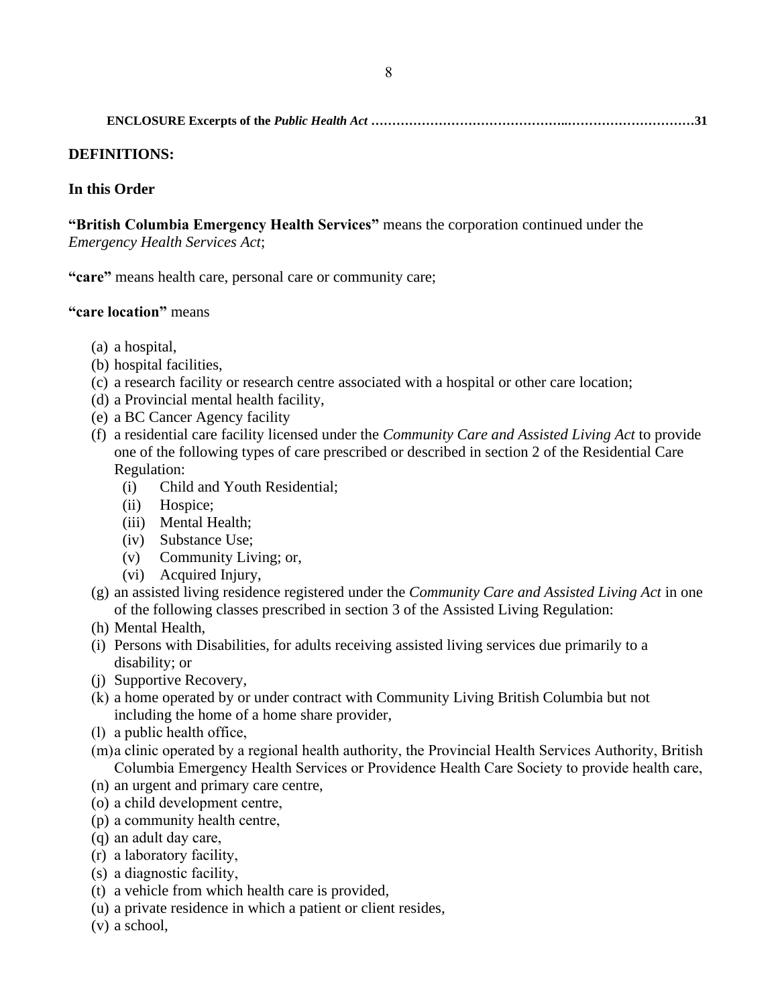### **ENCLOSURE Excerpts of the** *Public Health Act* **………………………………………..…………………………31**

### **DEFINITIONS:**

### **In this Order**

**"British Columbia Emergency Health Services"** means the corporation continued under the *Emergency Health Services Act*;

**"care"** means health care, personal care or community care;

#### **"care location"** means

- (a) a hospital,
- (b) hospital facilities,
- (c) a research facility or research centre associated with a hospital or other care location;
- (d) a Provincial mental health facility,
- (e) a BC Cancer Agency facility
- (f) a residential care facility licensed under the *Community Care and Assisted Living Act* to provide one of the following types of care prescribed or described in section 2 of the Residential Care Regulation:
	- (i) Child and Youth Residential;
	- (ii) Hospice;
	- (iii) Mental Health;
	- (iv) Substance Use;
	- (v) Community Living; or,
	- (vi) Acquired Injury,
- (g) an assisted living residence registered under the *Community Care and Assisted Living Act* in one of the following classes prescribed in section 3 of the Assisted Living Regulation:
- (h) Mental Health,
- (i) Persons with Disabilities, for adults receiving assisted living services due primarily to a disability; or
- (j) Supportive Recovery,
- (k) a home operated by or under contract with Community Living British Columbia but not including the home of a home share provider,
- (l) a public health office,
- (m)a clinic operated by a regional health authority, the Provincial Health Services Authority, British Columbia Emergency Health Services or Providence Health Care Society to provide health care,
- (n) an urgent and primary care centre,
- (o) a child development centre,
- (p) a community health centre,
- (q) an adult day care,
- (r) a laboratory facility,
- (s) a diagnostic facility,
- (t) a vehicle from which health care is provided*,*
- (u) a private residence in which a patient or client resides,
- (v) a school,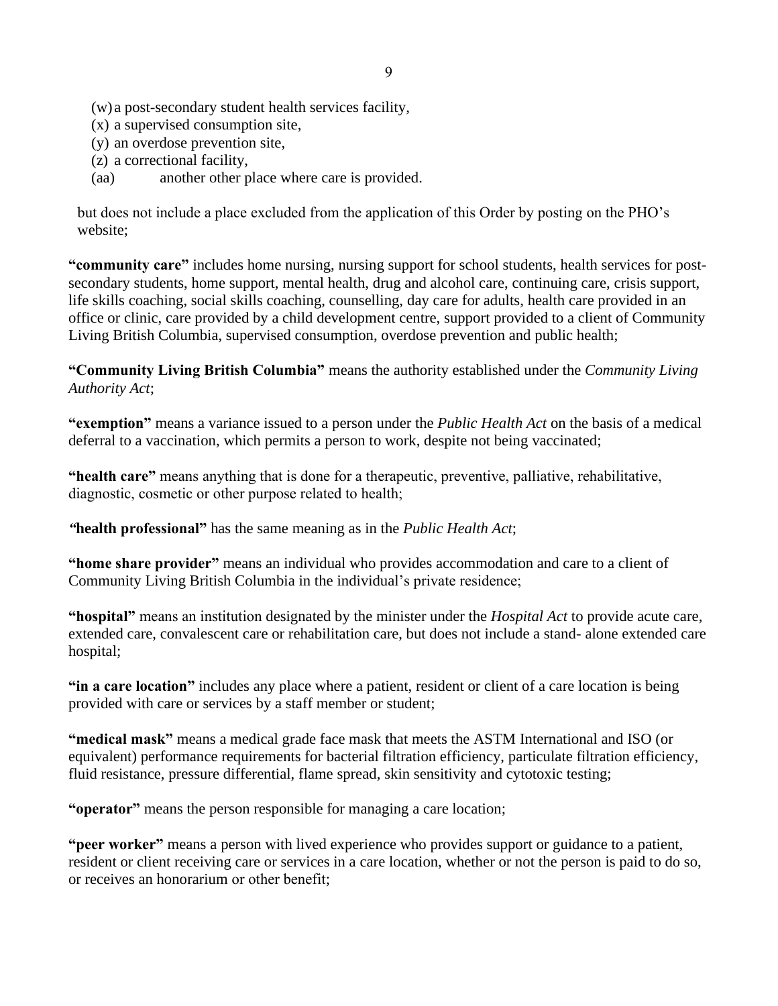- (w) a post-secondary student health services facility,
- (x) a supervised consumption site,
- (y) an overdose prevention site,
- (z) a correctional facility,
- (aa) another other place where care is provided.

but does not include a place excluded from the application of this Order by posting on the PHO's website;

**"community care"** includes home nursing, nursing support for school students, health services for postsecondary students, home support, mental health, drug and alcohol care, continuing care, crisis support, life skills coaching, social skills coaching, counselling, day care for adults, health care provided in an office or clinic, care provided by a child development centre, support provided to a client of Community Living British Columbia, supervised consumption, overdose prevention and public health;

**"Community Living British Columbia"** means the authority established under the *Community Living Authority Act*;

**"exemption"** means a variance issued to a person under the *Public Health Act* on the basis of a medical deferral to a vaccination, which permits a person to work, despite not being vaccinated;

**"health care"** means anything that is done for a therapeutic, preventive, palliative, rehabilitative, diagnostic, cosmetic or other purpose related to health;

*"***health professional"** has the same meaning as in the *Public Health Act*;

**"home share provider"** means an individual who provides accommodation and care to a client of Community Living British Columbia in the individual's private residence;

**"hospital"** means an institution designated by the minister under the *Hospital Act* to provide acute care, extended care, convalescent care or rehabilitation care, but does not include a stand- alone extended care hospital;

**"in a care location"** includes any place where a patient, resident or client of a care location is being provided with care or services by a staff member or student;

**"medical mask"** means a medical grade face mask that meets the ASTM International and ISO (or equivalent) performance requirements for bacterial filtration efficiency, particulate filtration efficiency, fluid resistance, pressure differential, flame spread, skin sensitivity and cytotoxic testing;

**"operator"** means the person responsible for managing a care location;

**"peer worker"** means a person with lived experience who provides support or guidance to a patient, resident or client receiving care or services in a care location, whether or not the person is paid to do so, or receives an honorarium or other benefit;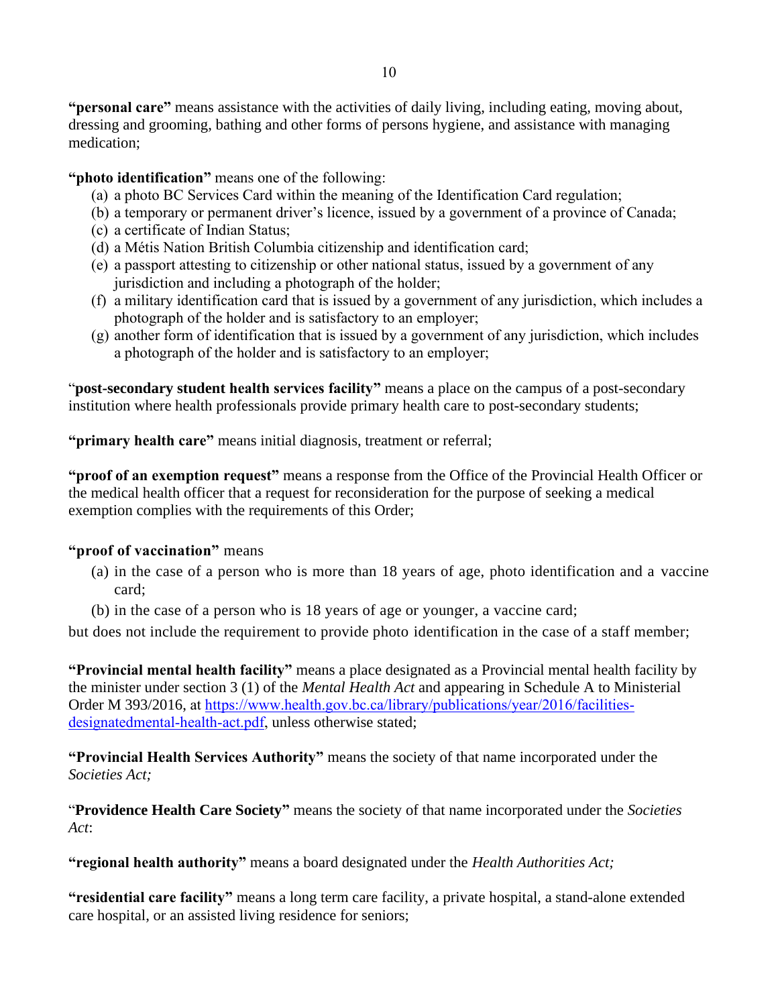**"personal care"** means assistance with the activities of daily living, including eating, moving about, dressing and grooming, bathing and other forms of persons hygiene, and assistance with managing medication;

**"photo identification"** means one of the following:

- (a) a photo BC Services Card within the meaning of the Identification Card regulation;
- (b) a temporary or permanent driver's licence, issued by a government of a province of Canada;
- (c) a certificate of Indian Status;
- (d) a Métis Nation British Columbia citizenship and identification card;
- (e) a passport attesting to citizenship or other national status, issued by a government of any jurisdiction and including a photograph of the holder;
- (f) a military identification card that is issued by a government of any jurisdiction, which includes a photograph of the holder and is satisfactory to an employer;
- (g) another form of identification that is issued by a government of any jurisdiction, which includes a photograph of the holder and is satisfactory to an employer;

"**post-secondary student health services facility"** means a place on the campus of a post-secondary institution where health professionals provide primary health care to post-secondary students;

**"primary health care"** means initial diagnosis, treatment or referral;

**"proof of an exemption request"** means a response from the Office of the Provincial Health Officer or the medical health officer that a request for reconsideration for the purpose of seeking a medical exemption complies with the requirements of this Order;

# **"proof of vaccination"** means

- (a) in the case of a person who is more than 18 years of age, photo identification and a vaccine card;
- (b) in the case of a person who is 18 years of age or younger, a vaccine card;

but does not include the requirement to provide photo identification in the case of a staff member;

**"Provincial mental health facility"** means a place designated as a Provincial mental health facility by the minister under section 3 (1) of the *Mental Health Act* and appearing in Schedule A to Ministerial Order M 393/2016, at [https://www.health.gov.bc.ca/library/publications/year/2016/facilities](https://www.health.gov.bc.ca/library/publications/year/2016/facilities-designatedmental-health-act.pdf)[designatedmental-health-act.pdf,](https://www.health.gov.bc.ca/library/publications/year/2016/facilities-designatedmental-health-act.pdf) unless otherwise stated;

**"Provincial Health Services Authority"** means the society of that name incorporated under the *Societies Act;*

"**Providence Health Care Society"** means the society of that name incorporated under the *Societies Act*:

**"regional health authority"** means a board designated under the *Health Authorities Act;*

**"residential care facility"** means a long term care facility, a private hospital, a stand-alone extended care hospital, or an assisted living residence for seniors;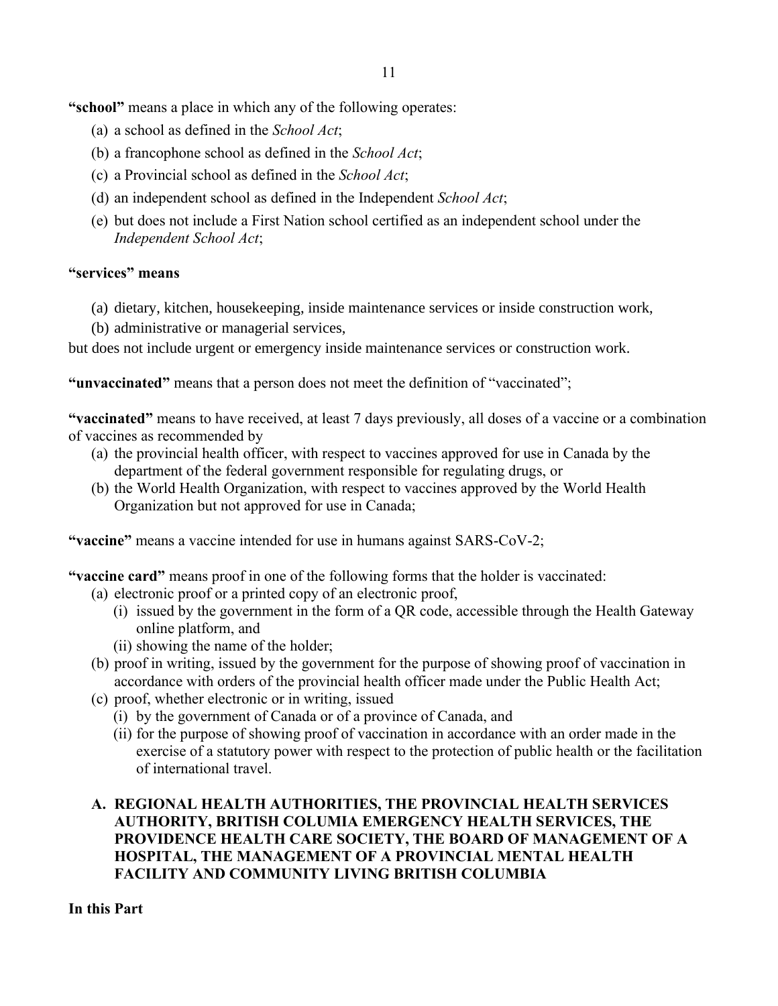**"school"** means a place in which any of the following operates:

- (a) a school as defined in the *School Act*;
- (b) a francophone school as defined in the *School Act*;
- (c) a Provincial school as defined in the *School Act*;
- (d) an independent school as defined in the Independent *School Act*;
- (e) but does not include a First Nation school certified as an independent school under the *Independent School Act*;

### **"services" means**

- (a) dietary, kitchen, housekeeping, inside maintenance services or inside construction work,
- (b) administrative or managerial services,

but does not include urgent or emergency inside maintenance services or construction work.

**"unvaccinated"** means that a person does not meet the definition of "vaccinated";

**"vaccinated"** means to have received, at least 7 days previously, all doses of a vaccine or a combination of vaccines as recommended by

- (a) the provincial health officer, with respect to vaccines approved for use in Canada by the department of the federal government responsible for regulating drugs, or
- (b) the World Health Organization, with respect to vaccines approved by the World Health Organization but not approved for use in Canada;

**"vaccine"** means a vaccine intended for use in humans against SARS-CoV-2;

**"vaccine card"** means proof in one of the following forms that the holder is vaccinated:

- (a) electronic proof or a printed copy of an electronic proof,
	- (i) issued by the government in the form of a QR code, accessible through the Health Gateway online platform, and
	- (ii) showing the name of the holder;
- (b) proof in writing, issued by the government for the purpose of showing proof of vaccination in accordance with orders of the provincial health officer made under the Public Health Act;
- (c) proof, whether electronic or in writing, issued
	- (i) by the government of Canada or of a province of Canada, and
	- (ii) for the purpose of showing proof of vaccination in accordance with an order made in the exercise of a statutory power with respect to the protection of public health or the facilitation of international travel.

# **A. REGIONAL HEALTH AUTHORITIES, THE PROVINCIAL HEALTH SERVICES AUTHORITY, BRITISH COLUMIA EMERGENCY HEALTH SERVICES, THE PROVIDENCE HEALTH CARE SOCIETY, THE BOARD OF MANAGEMENT OF A HOSPITAL, THE MANAGEMENT OF A PROVINCIAL MENTAL HEALTH FACILITY AND COMMUNITY LIVING BRITISH COLUMBIA**

### **In this Part**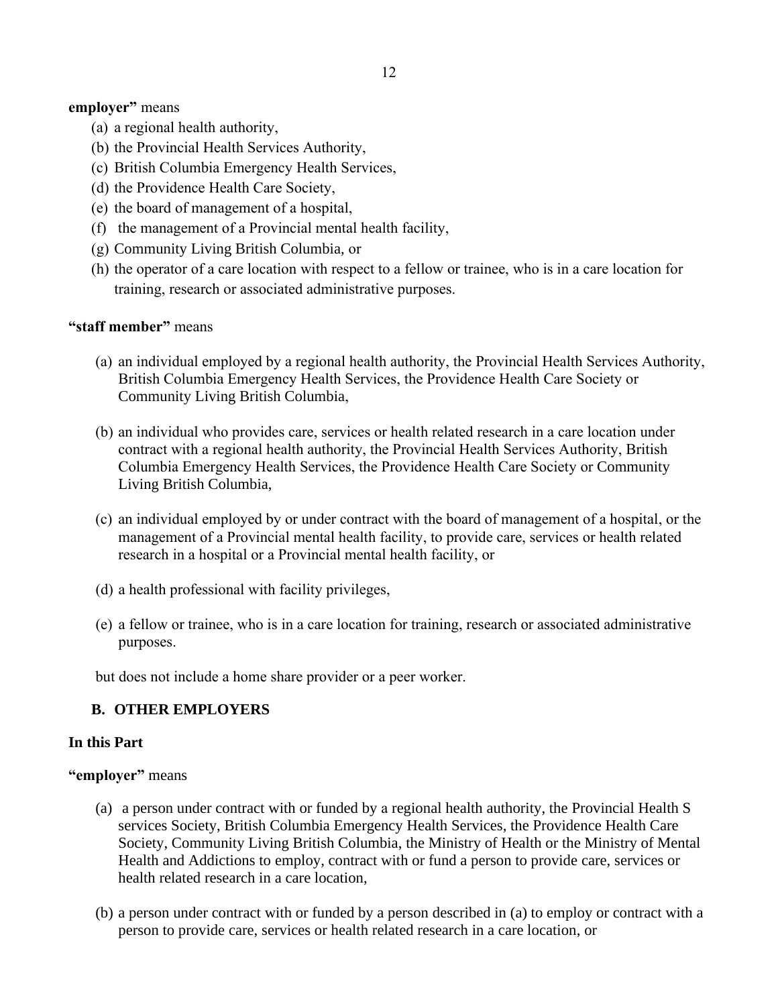### **employer"** means

- (a) a regional health authority,
- (b) the Provincial Health Services Authority,
- (c) British Columbia Emergency Health Services,
- (d) the Providence Health Care Society,
- (e) the board of management of a hospital,
- (f) the management of a Provincial mental health facility,
- (g) Community Living British Columbia, or
- (h) the operator of a care location with respect to a fellow or trainee, who is in a care location for training, research or associated administrative purposes.

### **"staff member"** means

- (a) an individual employed by a regional health authority, the Provincial Health Services Authority, British Columbia Emergency Health Services, the Providence Health Care Society or Community Living British Columbia,
- (b) an individual who provides care, services or health related research in a care location under contract with a regional health authority, the Provincial Health Services Authority, British Columbia Emergency Health Services, the Providence Health Care Society or Community Living British Columbia,
- (c) an individual employed by or under contract with the board of management of a hospital, or the management of a Provincial mental health facility, to provide care, services or health related research in a hospital or a Provincial mental health facility, or
- (d) a health professional with facility privileges,
- (e) a fellow or trainee, who is in a care location for training, research or associated administrative purposes.

but does not include a home share provider or a peer worker.

### **B. OTHER EMPLOYERS**

#### **In this Part**

#### **"employer"** means

- (a) a person under contract with or funded by a regional health authority, the Provincial Health S services Society, British Columbia Emergency Health Services, the Providence Health Care Society, Community Living British Columbia, the Ministry of Health or the Ministry of Mental Health and Addictions to employ, contract with or fund a person to provide care, services or health related research in a care location,
- (b) a person under contract with or funded by a person described in (a) to employ or contract with a person to provide care, services or health related research in a care location, or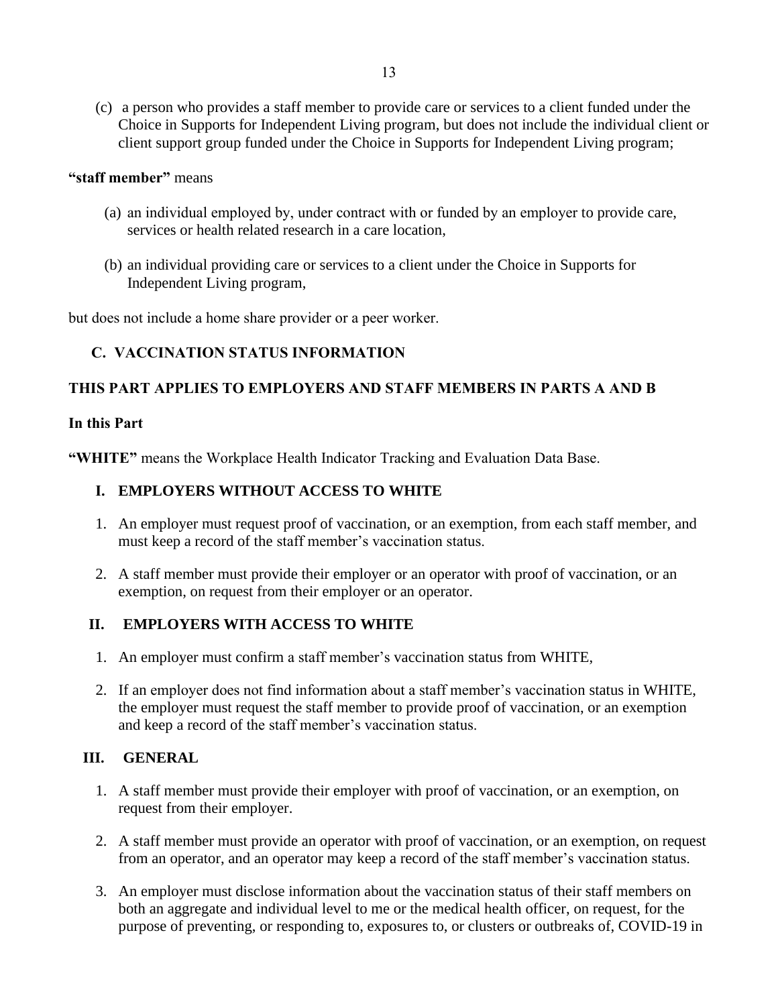(c) a person who provides a staff member to provide care or services to a client funded under the Choice in Supports for Independent Living program, but does not include the individual client or client support group funded under the Choice in Supports for Independent Living program;

### **"staff member"** means

- (a) an individual employed by, under contract with or funded by an employer to provide care, services or health related research in a care location,
- (b) an individual providing care or services to a client under the Choice in Supports for Independent Living program,

but does not include a home share provider or a peer worker.

# **C. VACCINATION STATUS INFORMATION**

# **THIS PART APPLIES TO EMPLOYERS AND STAFF MEMBERS IN PARTS A AND B**

### **In this Part**

**"WHITE"** means the Workplace Health Indicator Tracking and Evaluation Data Base.

# **I. EMPLOYERS WITHOUT ACCESS TO WHITE**

- 1. An employer must request proof of vaccination, or an exemption, from each staff member, and must keep a record of the staff member's vaccination status.
- 2. A staff member must provide their employer or an operator with proof of vaccination, or an exemption, on request from their employer or an operator.

# **II. EMPLOYERS WITH ACCESS TO WHITE**

- 1. An employer must confirm a staff member's vaccination status from WHITE,
- 2. If an employer does not find information about a staff member's vaccination status in WHITE, the employer must request the staff member to provide proof of vaccination, or an exemption and keep a record of the staff member's vaccination status.

# **III. GENERAL**

- 1. A staff member must provide their employer with proof of vaccination, or an exemption, on request from their employer.
- 2. A staff member must provide an operator with proof of vaccination, or an exemption, on request from an operator, and an operator may keep a record of the staff member's vaccination status.
- 3. An employer must disclose information about the vaccination status of their staff members on both an aggregate and individual level to me or the medical health officer, on request, for the purpose of preventing, or responding to, exposures to, or clusters or outbreaks of, COVID-19 in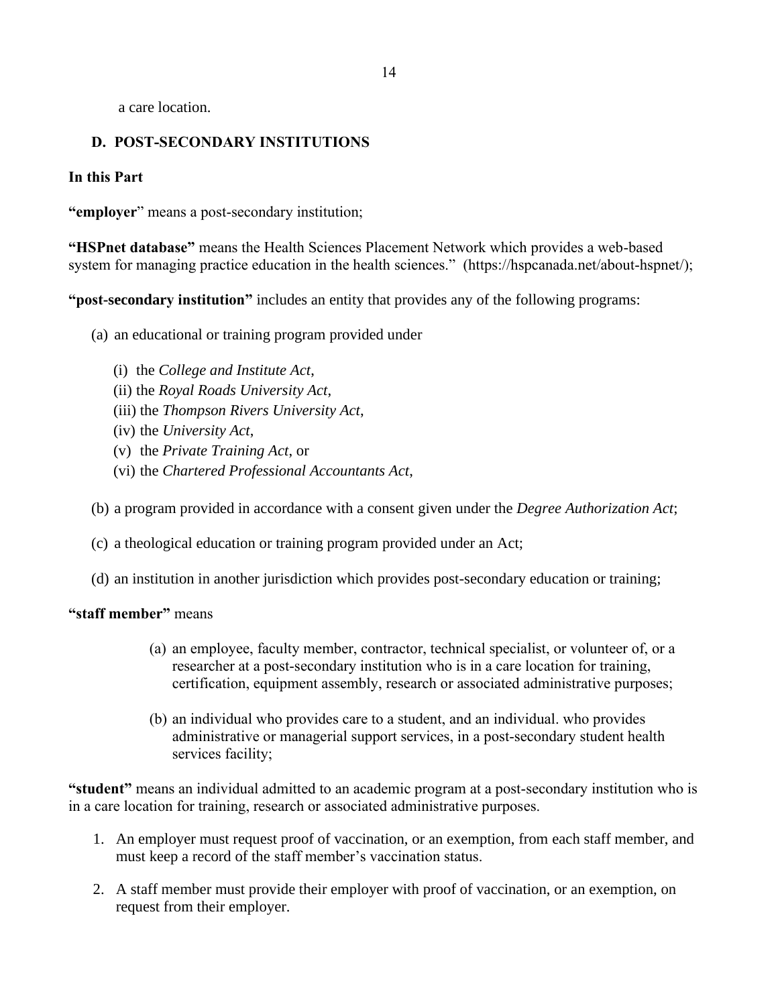a care location.

# **D. POST-SECONDARY INSTITUTIONS**

### **In this Part**

**"employer**" means a post-secondary institution;

**"HSPnet database"** means the Health Sciences Placement Network which provides a web-based system for managing practice education in the health sciences." (https://hspcanada.net/about-hspnet/);

**"post-secondary institution"** includes an entity that provides any of the following programs:

- (a) an educational or training program provided under
	- (i) the *College and Institute Act*,
	- (ii) the *Royal Roads University Act*,
	- (iii) the *Thompson Rivers University Act*,
	- (iv) the *University Act*,
	- (v) the *Private Training Act*, or
	- (vi) the *Chartered Professional Accountants Act*,
- (b) a program provided in accordance with a consent given under the *Degree Authorization Act*;
- (c) a theological education or training program provided under an Act;
- (d) an institution in another jurisdiction which provides post-secondary education or training;

### **"staff member"** means

- (a) an employee, faculty member, contractor, technical specialist, or volunteer of, or a researcher at a post-secondary institution who is in a care location for training, certification, equipment assembly, research or associated administrative purposes;
- (b) an individual who provides care to a student, and an individual. who provides administrative or managerial support services, in a post-secondary student health services facility;

**"student"** means an individual admitted to an academic program at a post-secondary institution who is in a care location for training, research or associated administrative purposes.

- 1. An employer must request proof of vaccination, or an exemption, from each staff member, and must keep a record of the staff member's vaccination status.
- 2. A staff member must provide their employer with proof of vaccination, or an exemption, on request from their employer.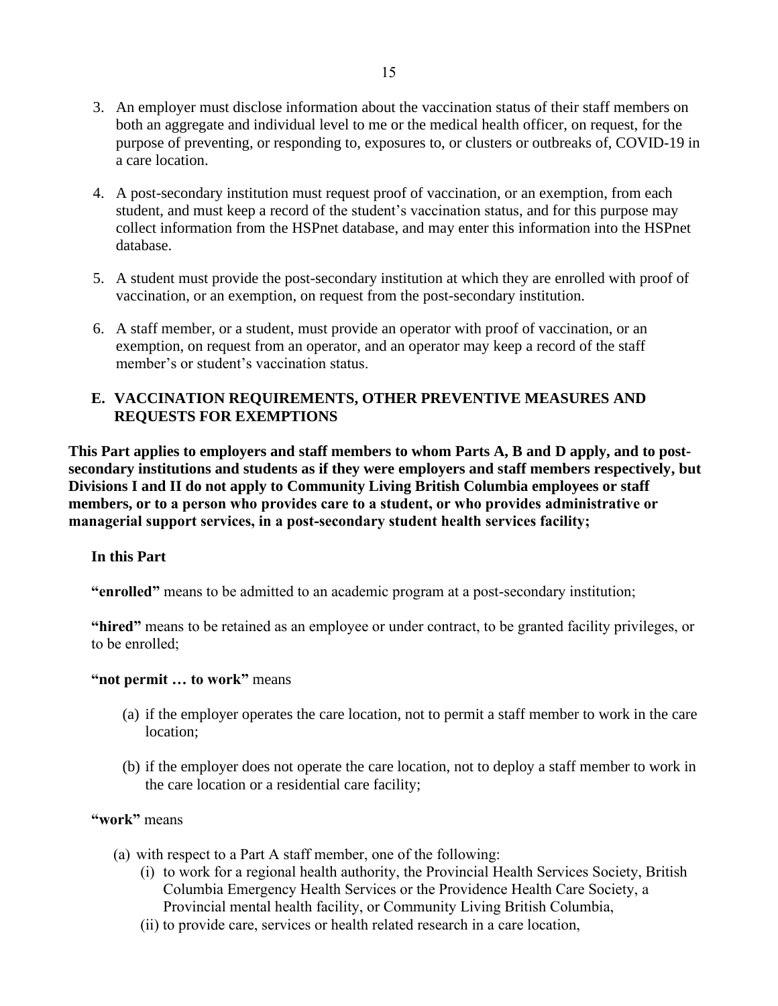- 3. An employer must disclose information about the vaccination status of their staff members on both an aggregate and individual level to me or the medical health officer, on request, for the purpose of preventing, or responding to, exposures to, or clusters or outbreaks of, COVID-19 in a care location.
- 4. A post-secondary institution must request proof of vaccination, or an exemption, from each student, and must keep a record of the student's vaccination status, and for this purpose may collect information from the HSPnet database, and may enter this information into the HSPnet database.
- 5. A student must provide the post-secondary institution at which they are enrolled with proof of vaccination, or an exemption, on request from the post-secondary institution.
- 6. A staff member, or a student, must provide an operator with proof of vaccination, or an exemption, on request from an operator, and an operator may keep a record of the staff member's or student's vaccination status.

# **E. VACCINATION REQUIREMENTS, OTHER PREVENTIVE MEASURES AND REQUESTS FOR EXEMPTIONS**

**This Part applies to employers and staff members to whom Parts A, B and D apply, and to postsecondary institutions and students as if they were employers and staff members respectively, but Divisions I and II do not apply to Community Living British Columbia employees or staff members, or to a person who provides care to a student, or who provides administrative or managerial support services, in a post-secondary student health services facility;**

# **In this Part**

**"enrolled"** means to be admitted to an academic program at a post-secondary institution;

**"hired"** means to be retained as an employee or under contract, to be granted facility privileges, or to be enrolled;

### **"not permit … to work"** means

- (a) if the employer operates the care location, not to permit a staff member to work in the care location;
- (b) if the employer does not operate the care location, not to deploy a staff member to work in the care location or a residential care facility;

# **"work"** means

- (a) with respect to a Part A staff member, one of the following:
	- (i) to work for a regional health authority, the Provincial Health Services Society, British Columbia Emergency Health Services or the Providence Health Care Society, a Provincial mental health facility, or Community Living British Columbia,
	- (ii) to provide care, services or health related research in a care location,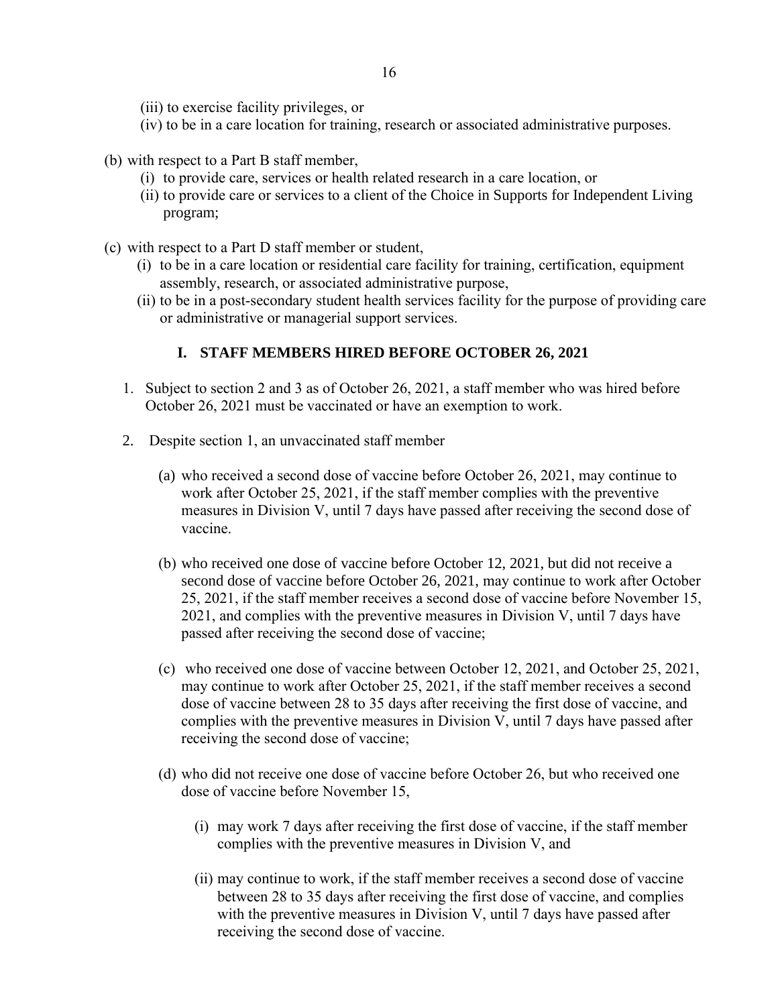- (iii) to exercise facility privileges, or
- (iv) to be in a care location for training, research or associated administrative purposes.
- (b) with respect to a Part B staff member,
	- (i) to provide care, services or health related research in a care location, or
	- (ii) to provide care or services to a client of the Choice in Supports for Independent Living program;
- (c) with respect to a Part D staff member or student,
	- (i) to be in a care location or residential care facility for training, certification, equipment assembly, research, or associated administrative purpose,
	- (ii) to be in a post-secondary student health services facility for the purpose of providing care or administrative or managerial support services.

### **I. STAFF MEMBERS HIRED BEFORE OCTOBER 26, 2021**

- 1. Subject to section 2 and 3 as of October 26, 2021, a staff member who was hired before October 26, 2021 must be vaccinated or have an exemption to work.
- 2. Despite section 1, an unvaccinated staff member
	- (a) who received a second dose of vaccine before October 26, 2021, may continue to work after October 25, 2021, if the staff member complies with the preventive measures in Division V, until 7 days have passed after receiving the second dose of vaccine.
	- (b) who received one dose of vaccine before October 12, 2021, but did not receive a second dose of vaccine before October 26, 2021, may continue to work after October 25, 2021, if the staff member receives a second dose of vaccine before November 15, 2021, and complies with the preventive measures in Division V, until 7 days have passed after receiving the second dose of vaccine;
	- (c) who received one dose of vaccine between October 12, 2021, and October 25, 2021, may continue to work after October 25, 2021, if the staff member receives a second dose of vaccine between 28 to 35 days after receiving the first dose of vaccine, and complies with the preventive measures in Division V, until 7 days have passed after receiving the second dose of vaccine;
	- (d) who did not receive one dose of vaccine before October 26, but who received one dose of vaccine before November 15,
		- (i) may work 7 days after receiving the first dose of vaccine, if the staff member complies with the preventive measures in Division V, and
		- (ii) may continue to work, if the staff member receives a second dose of vaccine between 28 to 35 days after receiving the first dose of vaccine, and complies with the preventive measures in Division V, until 7 days have passed after receiving the second dose of vaccine.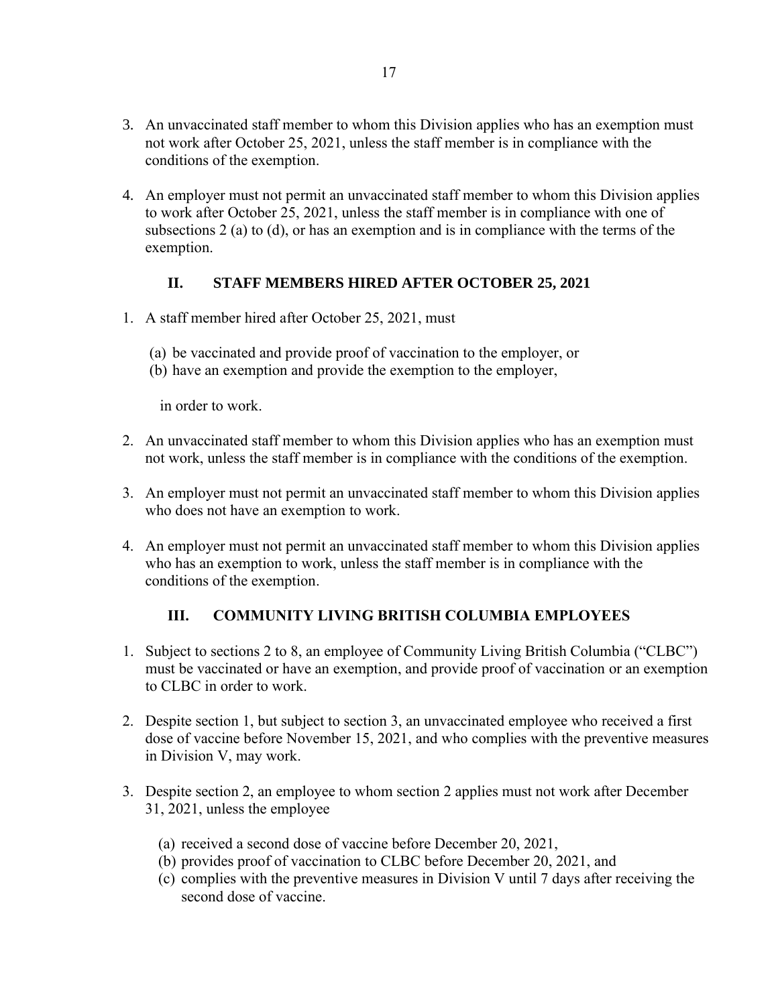- 3. An unvaccinated staff member to whom this Division applies who has an exemption must not work after October 25, 2021, unless the staff member is in compliance with the conditions of the exemption.
- 4. An employer must not permit an unvaccinated staff member to whom this Division applies to work after October 25, 2021, unless the staff member is in compliance with one of subsections 2 (a) to (d), or has an exemption and is in compliance with the terms of the exemption.

# **II. STAFF MEMBERS HIRED AFTER OCTOBER 25, 2021**

- 1. A staff member hired after October 25, 2021, must
	- (a) be vaccinated and provide proof of vaccination to the employer, or
	- (b) have an exemption and provide the exemption to the employer,

in order to work.

- 2. An unvaccinated staff member to whom this Division applies who has an exemption must not work, unless the staff member is in compliance with the conditions of the exemption.
- 3. An employer must not permit an unvaccinated staff member to whom this Division applies who does not have an exemption to work.
- 4. An employer must not permit an unvaccinated staff member to whom this Division applies who has an exemption to work, unless the staff member is in compliance with the conditions of the exemption.

# **III. COMMUNITY LIVING BRITISH COLUMBIA EMPLOYEES**

- 1. Subject to sections 2 to 8, an employee of Community Living British Columbia ("CLBC") must be vaccinated or have an exemption, and provide proof of vaccination or an exemption to CLBC in order to work.
- 2. Despite section 1, but subject to section 3, an unvaccinated employee who received a first dose of vaccine before November 15, 2021, and who complies with the preventive measures in Division V, may work.
- 3. Despite section 2, an employee to whom section 2 applies must not work after December 31, 2021, unless the employee
	- (a) received a second dose of vaccine before December 20, 2021,
	- (b) provides proof of vaccination to CLBC before December 20, 2021, and
	- (c) complies with the preventive measures in Division V until 7 days after receiving the second dose of vaccine.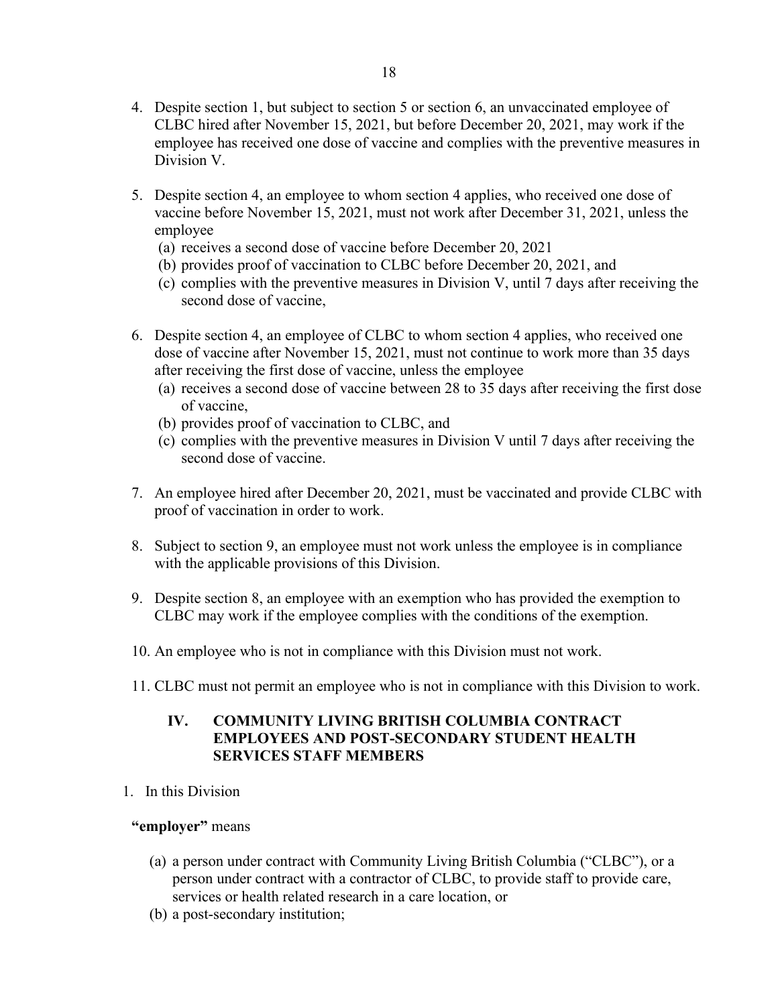- 4. Despite section 1, but subject to section 5 or section 6, an unvaccinated employee of CLBC hired after November 15, 2021, but before December 20, 2021, may work if the employee has received one dose of vaccine and complies with the preventive measures in Division V.
- 5. Despite section 4, an employee to whom section 4 applies, who received one dose of vaccine before November 15, 2021, must not work after December 31, 2021, unless the employee
	- (a) receives a second dose of vaccine before December 20, 2021
	- (b) provides proof of vaccination to CLBC before December 20, 2021, and
	- (c) complies with the preventive measures in Division V, until 7 days after receiving the second dose of vaccine,
- 6. Despite section 4, an employee of CLBC to whom section 4 applies, who received one dose of vaccine after November 15, 2021, must not continue to work more than 35 days after receiving the first dose of vaccine, unless the employee
	- (a) receives a second dose of vaccine between 28 to 35 days after receiving the first dose of vaccine,
	- (b) provides proof of vaccination to CLBC, and
	- (c) complies with the preventive measures in Division V until 7 days after receiving the second dose of vaccine.
- 7. An employee hired after December 20, 2021, must be vaccinated and provide CLBC with proof of vaccination in order to work.
- 8. Subject to section 9, an employee must not work unless the employee is in compliance with the applicable provisions of this Division.
- 9. Despite section 8, an employee with an exemption who has provided the exemption to CLBC may work if the employee complies with the conditions of the exemption.
- 10. An employee who is not in compliance with this Division must not work.
- 11. CLBC must not permit an employee who is not in compliance with this Division to work.

# **IV. COMMUNITY LIVING BRITISH COLUMBIA CONTRACT EMPLOYEES AND POST-SECONDARY STUDENT HEALTH SERVICES STAFF MEMBERS**

1. In this Division

### **"employer"** means

- (a) a person under contract with Community Living British Columbia ("CLBC"), or a person under contract with a contractor of CLBC, to provide staff to provide care, services or health related research in a care location, or
- (b) a post-secondary institution;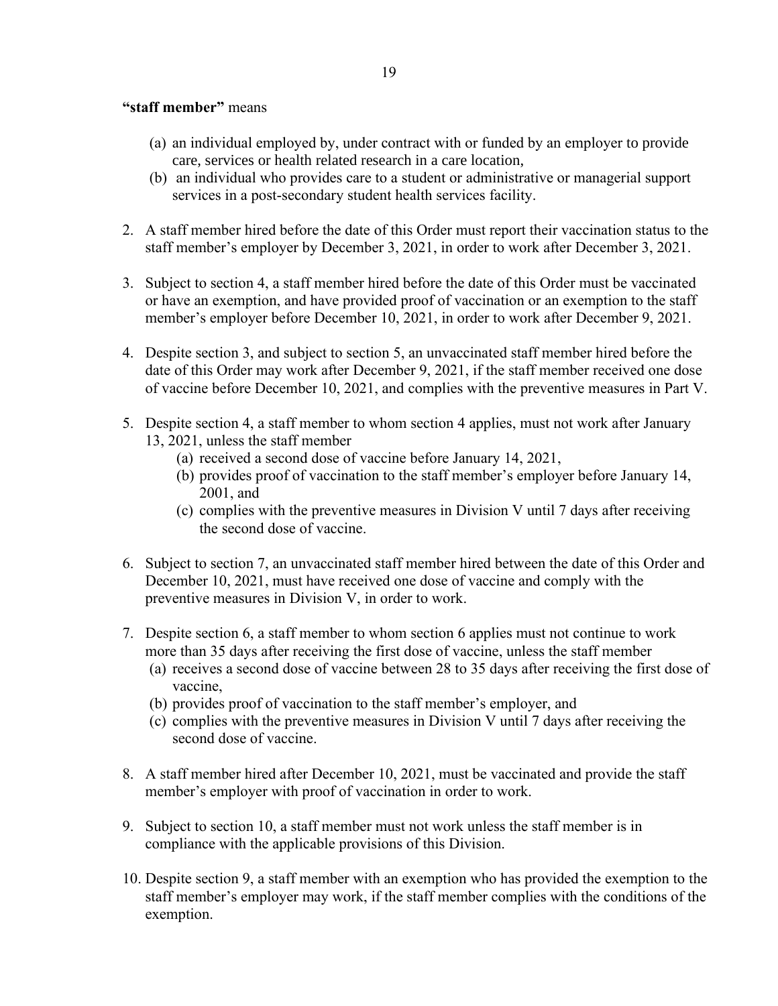### **"staff member"** means

- (a) an individual employed by, under contract with or funded by an employer to provide care, services or health related research in a care location,
- (b) an individual who provides care to a student or administrative or managerial support services in a post-secondary student health services facility.
- 2. A staff member hired before the date of this Order must report their vaccination status to the staff member's employer by December 3, 2021, in order to work after December 3, 2021.
- 3. Subject to section 4, a staff member hired before the date of this Order must be vaccinated or have an exemption, and have provided proof of vaccination or an exemption to the staff member's employer before December 10, 2021, in order to work after December 9, 2021.
- 4. Despite section 3, and subject to section 5, an unvaccinated staff member hired before the date of this Order may work after December 9, 2021, if the staff member received one dose of vaccine before December 10, 2021, and complies with the preventive measures in Part V.
- 5. Despite section 4, a staff member to whom section 4 applies, must not work after January 13, 2021, unless the staff member
	- (a) received a second dose of vaccine before January 14, 2021,
	- (b) provides proof of vaccination to the staff member's employer before January 14, 2001, and
	- (c) complies with the preventive measures in Division V until 7 days after receiving the second dose of vaccine.
- 6. Subject to section 7, an unvaccinated staff member hired between the date of this Order and December 10, 2021, must have received one dose of vaccine and comply with the preventive measures in Division V, in order to work.
- 7. Despite section 6, a staff member to whom section 6 applies must not continue to work more than 35 days after receiving the first dose of vaccine, unless the staff member (a) receives a second dose of vaccine between 28 to 35 days after receiving the first dose of vaccine,
	- (b) provides proof of vaccination to the staff member's employer, and
	- (c) complies with the preventive measures in Division V until 7 days after receiving the second dose of vaccine.
- 8. A staff member hired after December 10, 2021, must be vaccinated and provide the staff member's employer with proof of vaccination in order to work.
- 9. Subject to section 10, a staff member must not work unless the staff member is in compliance with the applicable provisions of this Division.
- 10. Despite section 9, a staff member with an exemption who has provided the exemption to the staff member's employer may work, if the staff member complies with the conditions of the exemption.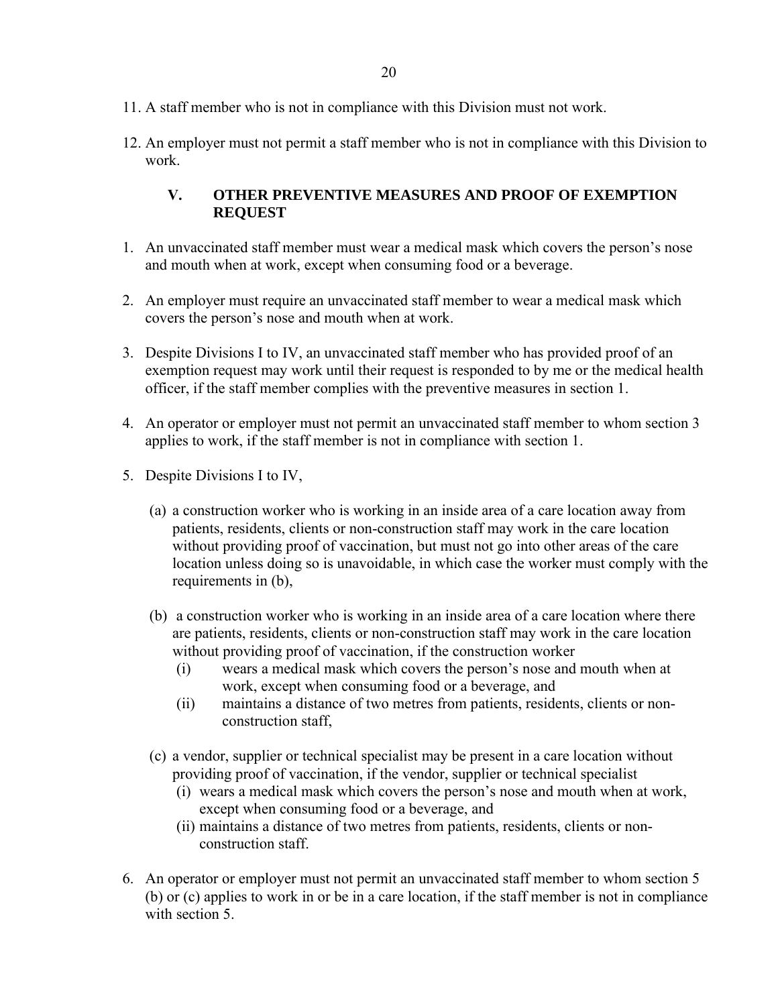- 11. A staff member who is not in compliance with this Division must not work.
- 12. An employer must not permit a staff member who is not in compliance with this Division to work.

# **V. OTHER PREVENTIVE MEASURES AND PROOF OF EXEMPTION REQUEST**

- 1. An unvaccinated staff member must wear a medical mask which covers the person's nose and mouth when at work, except when consuming food or a beverage.
- 2. An employer must require an unvaccinated staff member to wear a medical mask which covers the person's nose and mouth when at work.
- 3. Despite Divisions I to IV, an unvaccinated staff member who has provided proof of an exemption request may work until their request is responded to by me or the medical health officer, if the staff member complies with the preventive measures in section 1.
- 4. An operator or employer must not permit an unvaccinated staff member to whom section 3 applies to work, if the staff member is not in compliance with section 1.
- 5. Despite Divisions I to IV,
	- (a) a construction worker who is working in an inside area of a care location away from patients, residents, clients or non-construction staff may work in the care location without providing proof of vaccination, but must not go into other areas of the care location unless doing so is unavoidable, in which case the worker must comply with the requirements in (b),
	- (b) a construction worker who is working in an inside area of a care location where there are patients, residents, clients or non-construction staff may work in the care location without providing proof of vaccination, if the construction worker
		- (i) wears a medical mask which covers the person's nose and mouth when at work, except when consuming food or a beverage, and
		- (ii) maintains a distance of two metres from patients, residents, clients or nonconstruction staff,
	- (c) a vendor, supplier or technical specialist may be present in a care location without providing proof of vaccination, if the vendor, supplier or technical specialist
		- (i) wears a medical mask which covers the person's nose and mouth when at work, except when consuming food or a beverage, and
		- (ii) maintains a distance of two metres from patients, residents, clients or nonconstruction staff.
- 6. An operator or employer must not permit an unvaccinated staff member to whom section 5 (b) or (c) applies to work in or be in a care location, if the staff member is not in compliance with section 5.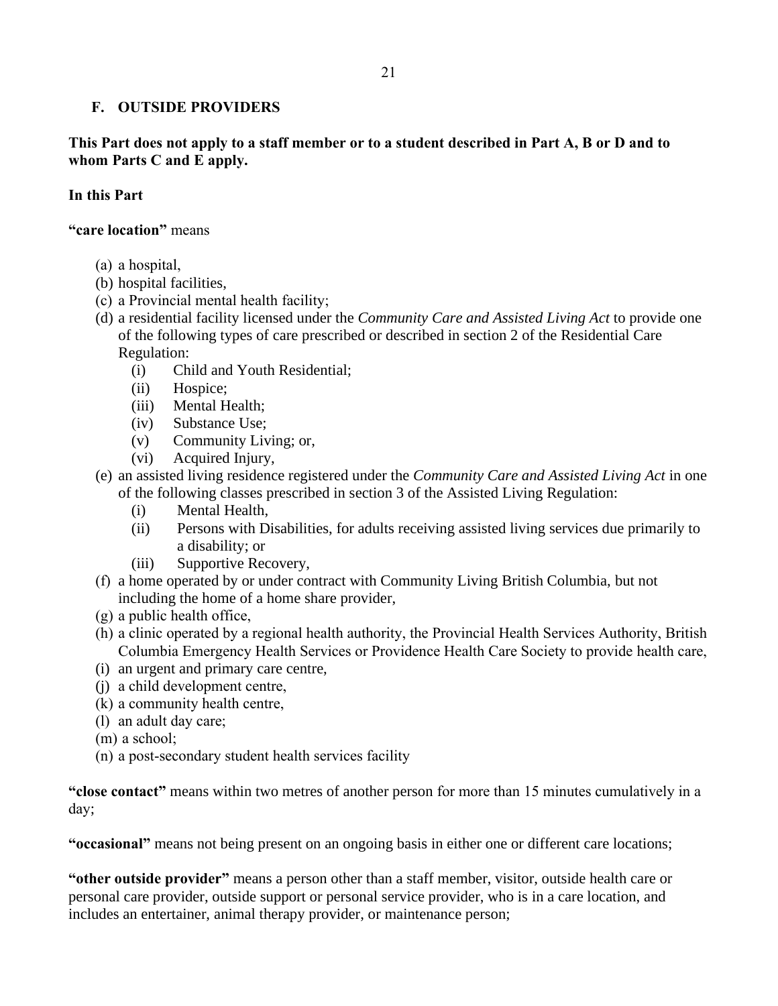# **F. OUTSIDE PROVIDERS**

### **This Part does not apply to a staff member or to a student described in Part A, B or D and to whom Parts C and E apply.**

# **In this Part**

**"care location"** means

- (a) a hospital,
- (b) hospital facilities,
- (c) a Provincial mental health facility;
- (d) a residential facility licensed under the *Community Care and Assisted Living Act* to provide one of the following types of care prescribed or described in section 2 of the Residential Care Regulation:
	- (i) Child and Youth Residential;
	- (ii) Hospice;
	- (iii) Mental Health;
	- (iv) Substance Use;
	- (v) Community Living; or,
	- (vi) Acquired Injury,
- (e) an assisted living residence registered under the *Community Care and Assisted Living Act* in one of the following classes prescribed in section 3 of the Assisted Living Regulation:
	- (i) Mental Health,
	- (ii) Persons with Disabilities, for adults receiving assisted living services due primarily to a disability; or
	- (iii) Supportive Recovery,
- (f) a home operated by or under contract with Community Living British Columbia, but not including the home of a home share provider,
- (g) a public health office,
- (h) a clinic operated by a regional health authority, the Provincial Health Services Authority, British Columbia Emergency Health Services or Providence Health Care Society to provide health care,
- (i) an urgent and primary care centre,
- (j) a child development centre,
- (k) a community health centre,
- (l) an adult day care;
- (m) a school;
- (n) a post-secondary student health services facility

**"close contact"** means within two metres of another person for more than 15 minutes cumulatively in a day;

**"occasional"** means not being present on an ongoing basis in either one or different care locations;

**"other outside provider"** means a person other than a staff member, visitor, outside health care or personal care provider, outside support or personal service provider, who is in a care location, and includes an entertainer, animal therapy provider, or maintenance person;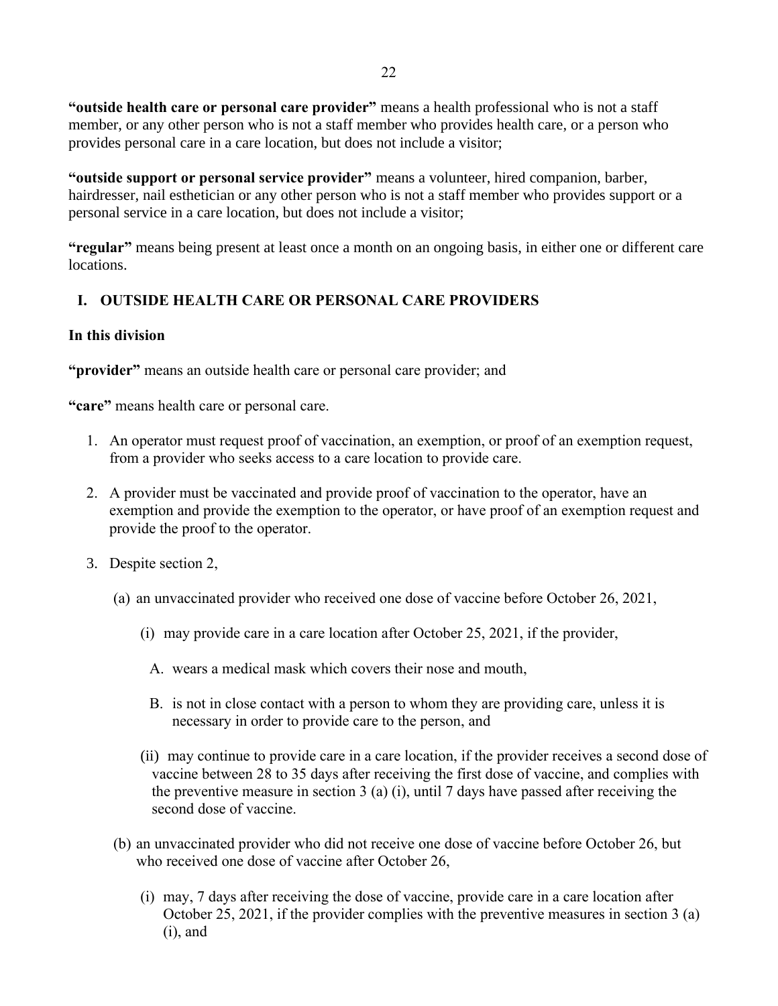**"outside health care or personal care provider"** means a health professional who is not a staff member, or any other person who is not a staff member who provides health care, or a person who provides personal care in a care location, but does not include a visitor;

**"outside support or personal service provider"** means a volunteer, hired companion, barber, hairdresser, nail esthetician or any other person who is not a staff member who provides support or a personal service in a care location, but does not include a visitor;

**"regular"** means being present at least once a month on an ongoing basis, in either one or different care locations.

# **I. OUTSIDE HEALTH CARE OR PERSONAL CARE PROVIDERS**

# **In this division**

**"provider"** means an outside health care or personal care provider; and

**"care"** means health care or personal care.

- 1. An operator must request proof of vaccination, an exemption, or proof of an exemption request, from a provider who seeks access to a care location to provide care.
- 2. A provider must be vaccinated and provide proof of vaccination to the operator, have an exemption and provide the exemption to the operator, or have proof of an exemption request and provide the proof to the operator.
- 3. Despite section 2,
	- (a) an unvaccinated provider who received one dose of vaccine before October 26, 2021,
		- (i) may provide care in a care location after October 25, 2021, if the provider,
			- A. wears a medical mask which covers their nose and mouth,
			- B. is not in close contact with a person to whom they are providing care, unless it is necessary in order to provide care to the person, and
		- (ii) may continue to provide care in a care location, if the provider receives a second dose of vaccine between 28 to 35 days after receiving the first dose of vaccine, and complies with the preventive measure in section 3 (a) (i), until 7 days have passed after receiving the second dose of vaccine.
	- (b) an unvaccinated provider who did not receive one dose of vaccine before October 26, but who received one dose of vaccine after October 26,
		- (i) may, 7 days after receiving the dose of vaccine, provide care in a care location after October 25, 2021, if the provider complies with the preventive measures in section 3 (a) (i), and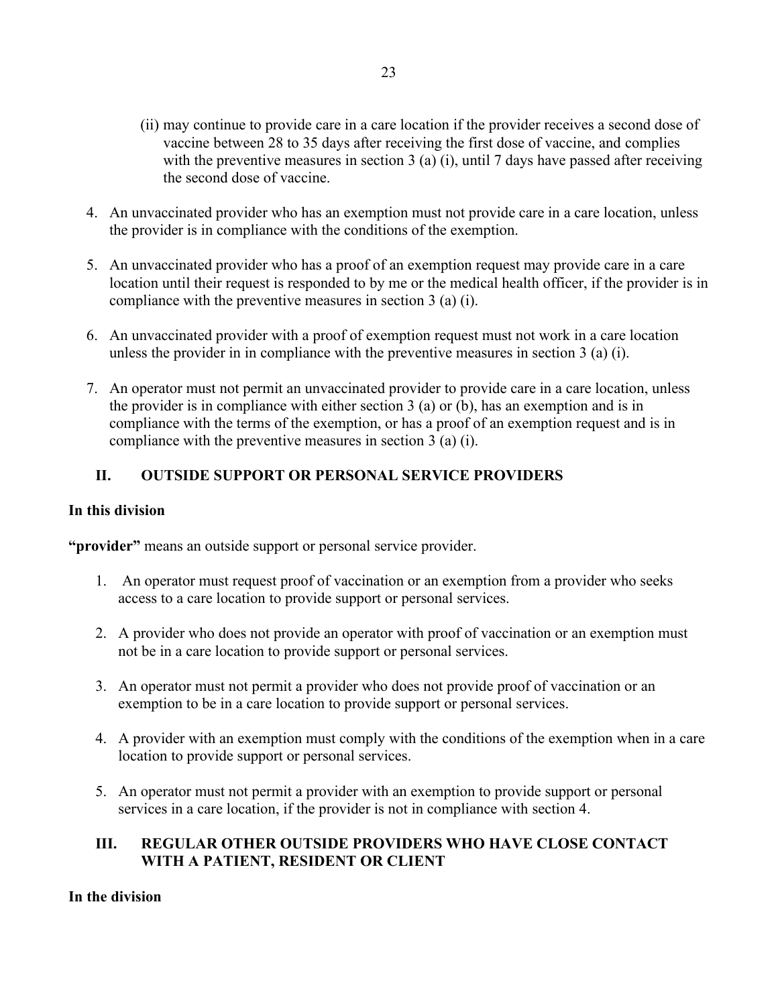- (ii) may continue to provide care in a care location if the provider receives a second dose of vaccine between 28 to 35 days after receiving the first dose of vaccine, and complies with the preventive measures in section 3 (a) (i), until 7 days have passed after receiving the second dose of vaccine.
- 4. An unvaccinated provider who has an exemption must not provide care in a care location, unless the provider is in compliance with the conditions of the exemption.
- 5. An unvaccinated provider who has a proof of an exemption request may provide care in a care location until their request is responded to by me or the medical health officer, if the provider is in compliance with the preventive measures in section 3 (a) (i).
- 6. An unvaccinated provider with a proof of exemption request must not work in a care location unless the provider in in compliance with the preventive measures in section 3 (a) (i).
- 7. An operator must not permit an unvaccinated provider to provide care in a care location, unless the provider is in compliance with either section 3 (a) or (b), has an exemption and is in compliance with the terms of the exemption, or has a proof of an exemption request and is in compliance with the preventive measures in section 3 (a) (i).

# **II. OUTSIDE SUPPORT OR PERSONAL SERVICE PROVIDERS**

### **In this division**

**"provider"** means an outside support or personal service provider.

- 1. An operator must request proof of vaccination or an exemption from a provider who seeks access to a care location to provide support or personal services.
- 2. A provider who does not provide an operator with proof of vaccination or an exemption must not be in a care location to provide support or personal services.
- 3. An operator must not permit a provider who does not provide proof of vaccination or an exemption to be in a care location to provide support or personal services.
- 4. A provider with an exemption must comply with the conditions of the exemption when in a care location to provide support or personal services.
- 5. An operator must not permit a provider with an exemption to provide support or personal services in a care location, if the provider is not in compliance with section 4.

# **III. REGULAR OTHER OUTSIDE PROVIDERS WHO HAVE CLOSE CONTACT WITH A PATIENT, RESIDENT OR CLIENT**

### **In the division**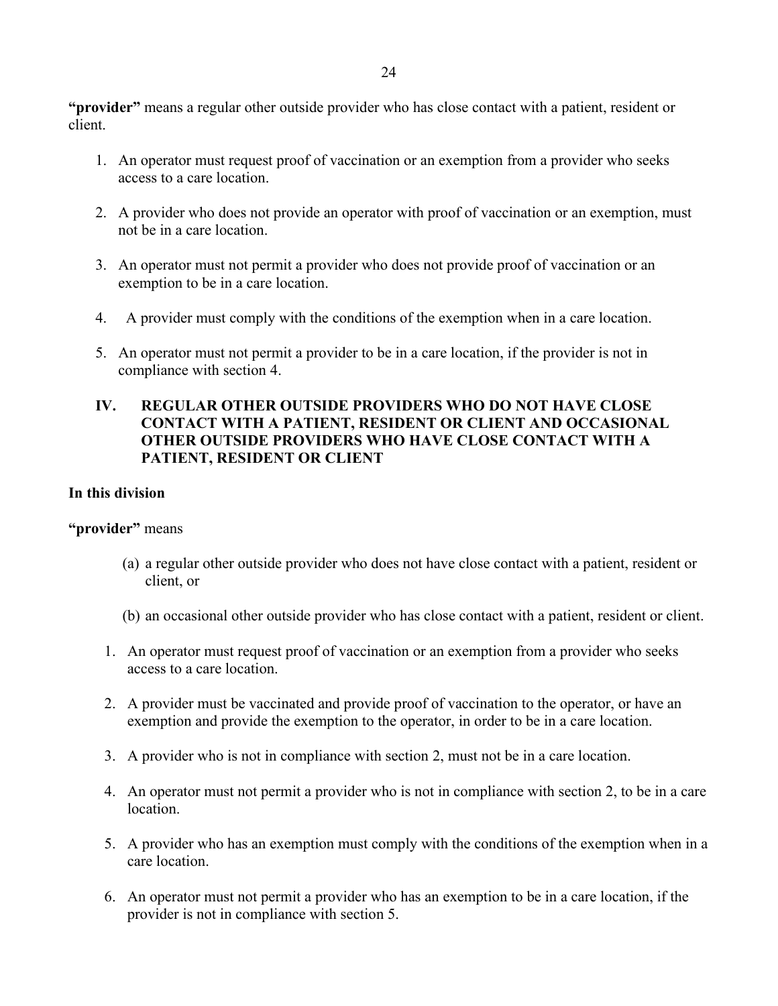**"provider"** means a regular other outside provider who has close contact with a patient, resident or client.

- 1. An operator must request proof of vaccination or an exemption from a provider who seeks access to a care location.
- 2. A provider who does not provide an operator with proof of vaccination or an exemption, must not be in a care location.
- 3. An operator must not permit a provider who does not provide proof of vaccination or an exemption to be in a care location.
- 4. A provider must comply with the conditions of the exemption when in a care location.
- 5. An operator must not permit a provider to be in a care location, if the provider is not in compliance with section 4.

# **IV. REGULAR OTHER OUTSIDE PROVIDERS WHO DO NOT HAVE CLOSE CONTACT WITH A PATIENT, RESIDENT OR CLIENT AND OCCASIONAL OTHER OUTSIDE PROVIDERS WHO HAVE CLOSE CONTACT WITH A PATIENT, RESIDENT OR CLIENT**

### **In this division**

### **"provider"** means

- (a) a regular other outside provider who does not have close contact with a patient, resident or client, or
- (b) an occasional other outside provider who has close contact with a patient, resident or client.
- 1. An operator must request proof of vaccination or an exemption from a provider who seeks access to a care location.
- 2. A provider must be vaccinated and provide proof of vaccination to the operator, or have an exemption and provide the exemption to the operator, in order to be in a care location.
- 3. A provider who is not in compliance with section 2, must not be in a care location.
- 4. An operator must not permit a provider who is not in compliance with section 2, to be in a care location.
- 5. A provider who has an exemption must comply with the conditions of the exemption when in a care location.
- 6. An operator must not permit a provider who has an exemption to be in a care location, if the provider is not in compliance with section 5.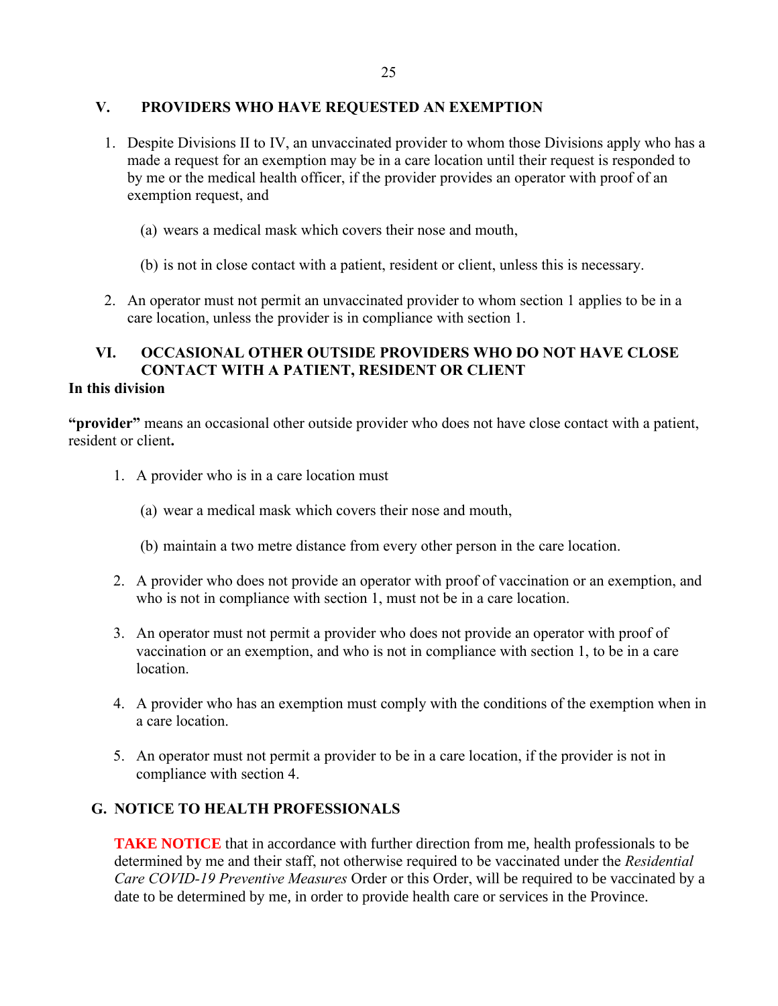### **V. PROVIDERS WHO HAVE REQUESTED AN EXEMPTION**

- 1. Despite Divisions II to IV, an unvaccinated provider to whom those Divisions apply who has a made a request for an exemption may be in a care location until their request is responded to by me or the medical health officer, if the provider provides an operator with proof of an exemption request, and
	- (a) wears a medical mask which covers their nose and mouth,
	- (b) is not in close contact with a patient, resident or client, unless this is necessary.
- 2. An operator must not permit an unvaccinated provider to whom section 1 applies to be in a care location, unless the provider is in compliance with section 1.

# **VI. OCCASIONAL OTHER OUTSIDE PROVIDERS WHO DO NOT HAVE CLOSE CONTACT WITH A PATIENT, RESIDENT OR CLIENT**

### **In this division**

**"provider"** means an occasional other outside provider who does not have close contact with a patient, resident or client**.**

- 1. A provider who is in a care location must
	- (a) wear a medical mask which covers their nose and mouth,
	- (b) maintain a two metre distance from every other person in the care location.
- 2. A provider who does not provide an operator with proof of vaccination or an exemption, and who is not in compliance with section 1, must not be in a care location.
- 3. An operator must not permit a provider who does not provide an operator with proof of vaccination or an exemption, and who is not in compliance with section 1, to be in a care location.
- 4. A provider who has an exemption must comply with the conditions of the exemption when in a care location.
- 5. An operator must not permit a provider to be in a care location, if the provider is not in compliance with section 4.

# **G. NOTICE TO HEALTH PROFESSIONALS**

**TAKE NOTICE** that in accordance with further direction from me, health professionals to be determined by me and their staff, not otherwise required to be vaccinated under the *Residential Care COVID-19 Preventive Measures* Order or this Order, will be required to be vaccinated by a date to be determined by me, in order to provide health care or services in the Province.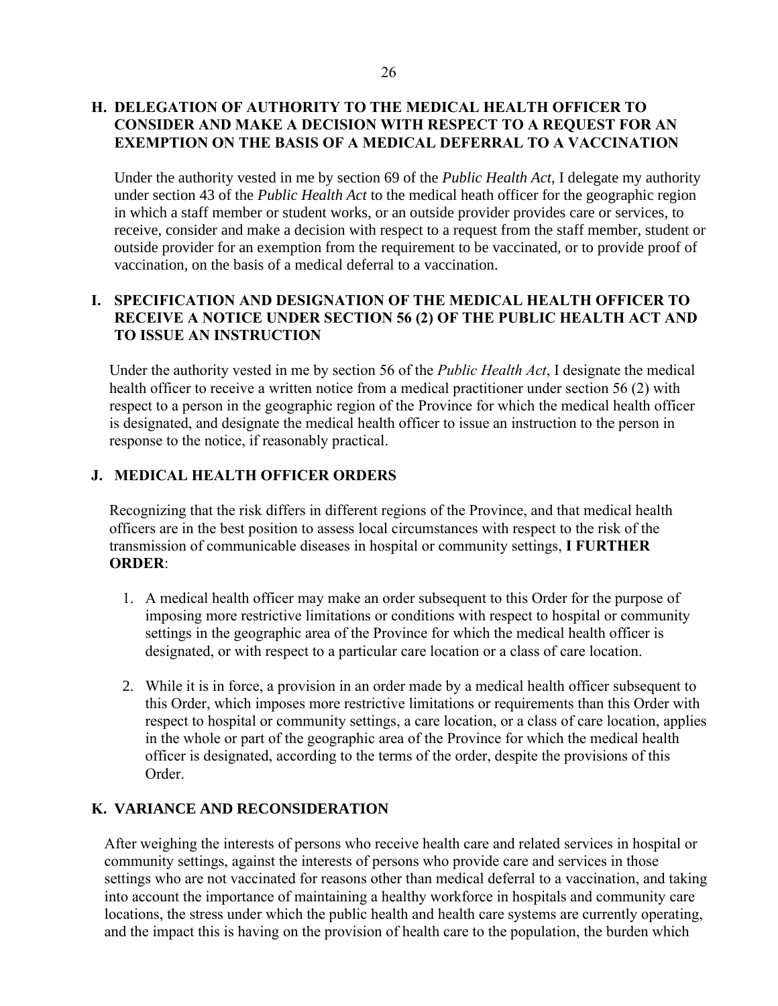# **H. DELEGATION OF AUTHORITY TO THE MEDICAL HEALTH OFFICER TO CONSIDER AND MAKE A DECISION WITH RESPECT TO A REQUEST FOR AN EXEMPTION ON THE BASIS OF A MEDICAL DEFERRAL TO A VACCINATION**

Under the authority vested in me by section 69 of the *Public Health Act*, I delegate my authority under section 43 of the *Public Health Act* to the medical heath officer for the geographic region in which a staff member or student works, or an outside provider provides care or services, to receive, consider and make a decision with respect to a request from the staff member, student or outside provider for an exemption from the requirement to be vaccinated, or to provide proof of vaccination, on the basis of a medical deferral to a vaccination.

# **I. SPECIFICATION AND DESIGNATION OF THE MEDICAL HEALTH OFFICER TO RECEIVE A NOTICE UNDER SECTION 56 (2) OF THE PUBLIC HEALTH ACT AND TO ISSUE AN INSTRUCTION**

Under the authority vested in me by section 56 of the *Public Health Act*, I designate the medical health officer to receive a written notice from a medical practitioner under section 56 (2) with respect to a person in the geographic region of the Province for which the medical health officer is designated, and designate the medical health officer to issue an instruction to the person in response to the notice, if reasonably practical.

# **J. MEDICAL HEALTH OFFICER ORDERS**

Recognizing that the risk differs in different regions of the Province, and that medical health officers are in the best position to assess local circumstances with respect to the risk of the transmission of communicable diseases in hospital or community settings, **I FURTHER ORDER**:

- 1. A medical health officer may make an order subsequent to this Order for the purpose of imposing more restrictive limitations or conditions with respect to hospital or community settings in the geographic area of the Province for which the medical health officer is designated, or with respect to a particular care location or a class of care location.
- 2. While it is in force, a provision in an order made by a medical health officer subsequent to this Order, which imposes more restrictive limitations or requirements than this Order with respect to hospital or community settings, a care location, or a class of care location, applies in the whole or part of the geographic area of the Province for which the medical health officer is designated, according to the terms of the order, despite the provisions of this Order.

# **K. VARIANCE AND RECONSIDERATION**

After weighing the interests of persons who receive health care and related services in hospital or community settings, against the interests of persons who provide care and services in those settings who are not vaccinated for reasons other than medical deferral to a vaccination, and taking into account the importance of maintaining a healthy workforce in hospitals and community care locations, the stress under which the public health and health care systems are currently operating, and the impact this is having on the provision of health care to the population, the burden which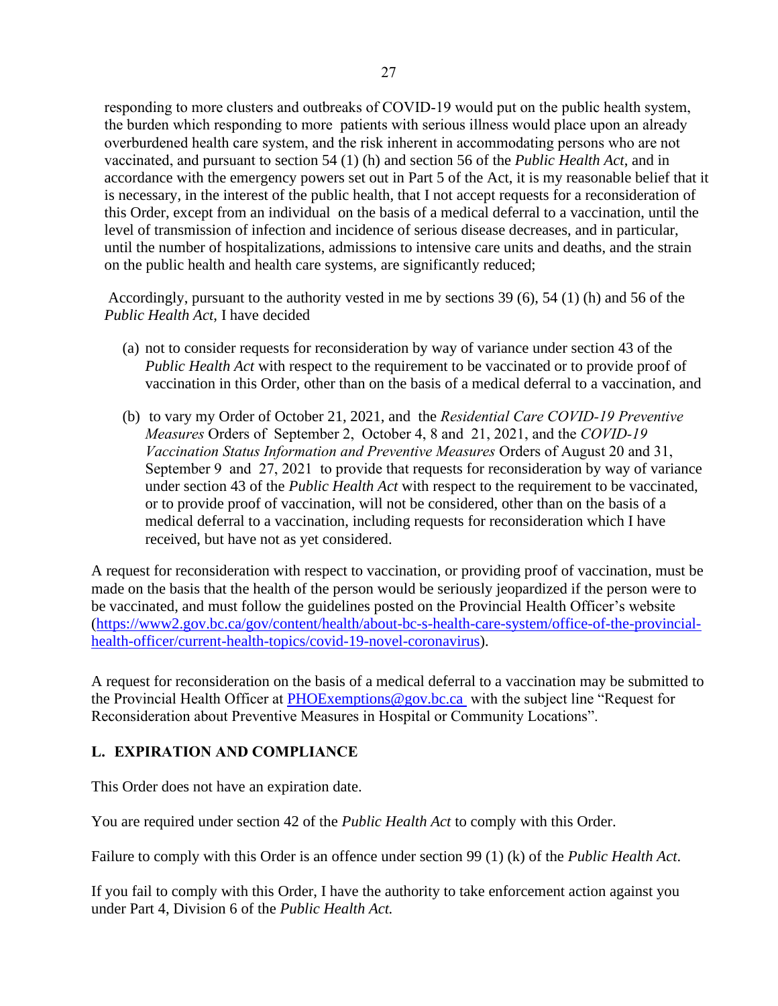responding to more clusters and outbreaks of COVID-19 would put on the public health system, the burden which responding to more patients with serious illness would place upon an already overburdened health care system, and the risk inherent in accommodating persons who are not vaccinated, and pursuant to section 54 (1) (h) and section 56 of the *Public Health Act*, and in accordance with the emergency powers set out in Part 5 of the Act, it is my reasonable belief that it is necessary, in the interest of the public health, that I not accept requests for a reconsideration of this Order, except from an individual on the basis of a medical deferral to a vaccination, until the level of transmission of infection and incidence of serious disease decreases, and in particular, until the number of hospitalizations, admissions to intensive care units and deaths, and the strain on the public health and health care systems, are significantly reduced;

Accordingly, pursuant to the authority vested in me by sections 39 (6), 54 (1) (h) and 56 of the *Public Health Act*, I have decided

- (a) not to consider requests for reconsideration by way of variance under section 43 of the *Public Health Act* with respect to the requirement to be vaccinated or to provide proof of vaccination in this Order, other than on the basis of a medical deferral to a vaccination, and
- (b) to vary my Order of October 21, 2021, and the *Residential Care COVID-19 Preventive Measures* Orders of September 2, October 4, 8 and 21, 2021, and the *COVID-19 Vaccination Status Information and Preventive Measures* Orders of August 20 and 31, September 9 and 27, 2021 to provide that requests for reconsideration by way of variance under section 43 of the *Public Health Act* with respect to the requirement to be vaccinated, or to provide proof of vaccination, will not be considered, other than on the basis of a medical deferral to a vaccination, including requests for reconsideration which I have received, but have not as yet considered.

A request for reconsideration with respect to vaccination, or providing proof of vaccination, must be made on the basis that the health of the person would be seriously jeopardized if the person were to be vaccinated, and must follow the guidelines posted on the Provincial Health Officer's website [\(https://www2.gov.bc.ca/gov/content/health/about-bc-s-health-care-system/office-of-the-provincial](https://www2.gov.bc.ca/gov/content/health/about-bc-s-health-care-system/office-of-the-provincial-health-officer/current-health-topics/covid-19-novel-coronavirus)[health-officer/current-health-topics/covid-19-novel-coronavirus\)](https://www2.gov.bc.ca/gov/content/health/about-bc-s-health-care-system/office-of-the-provincial-health-officer/current-health-topics/covid-19-novel-coronavirus).

A request for reconsideration on the basis of a medical deferral to a vaccination may be submitted to the Provincial Health Officer at [PHOExemptions@gov.bc.ca](mailto:PHOExemptions@gov.bc.ca) with the subject line "Request for Reconsideration about Preventive Measures in Hospital or Community Locations".

# **L. EXPIRATION AND COMPLIANCE**

This Order does not have an expiration date.

You are required under section 42 of the *Public Health Act* to comply with this Order.

Failure to comply with this Order is an offence under section 99 (1) (k) of the *Public Health Act*.

If you fail to comply with this Order, I have the authority to take enforcement action against you under Part 4, Division 6 of the *Public Health Act.*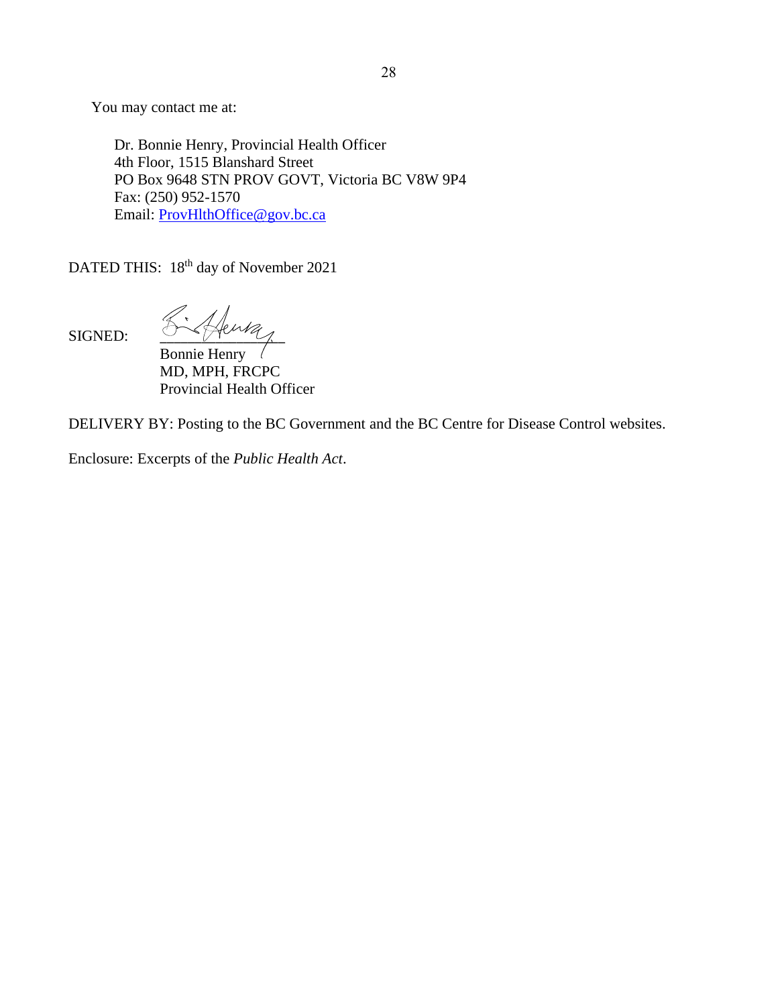You may contact me at:

Dr. Bonnie Henry, Provincial Health Officer 4th Floor, 1515 Blanshard Street PO Box 9648 STN PROV GOVT, Victoria BC V8W 9P4 Fax: (250) 952-1570 Email: [ProvHlthOffice@gov.bc.ca](mailto:ProvHlthOffice@gov.bc.ca)

DATED THIS: 18<sup>th</sup> day of November 2021

SIGNED:  $\frac{\sqrt{2}}{\sqrt{2}}$ 

Bonnie Henry MD, MPH, FRCPC Provincial Health Officer

DELIVERY BY: Posting to the BC Government and the BC Centre for Disease Control websites.

Enclosure: Excerpts of the *Public Health Act*.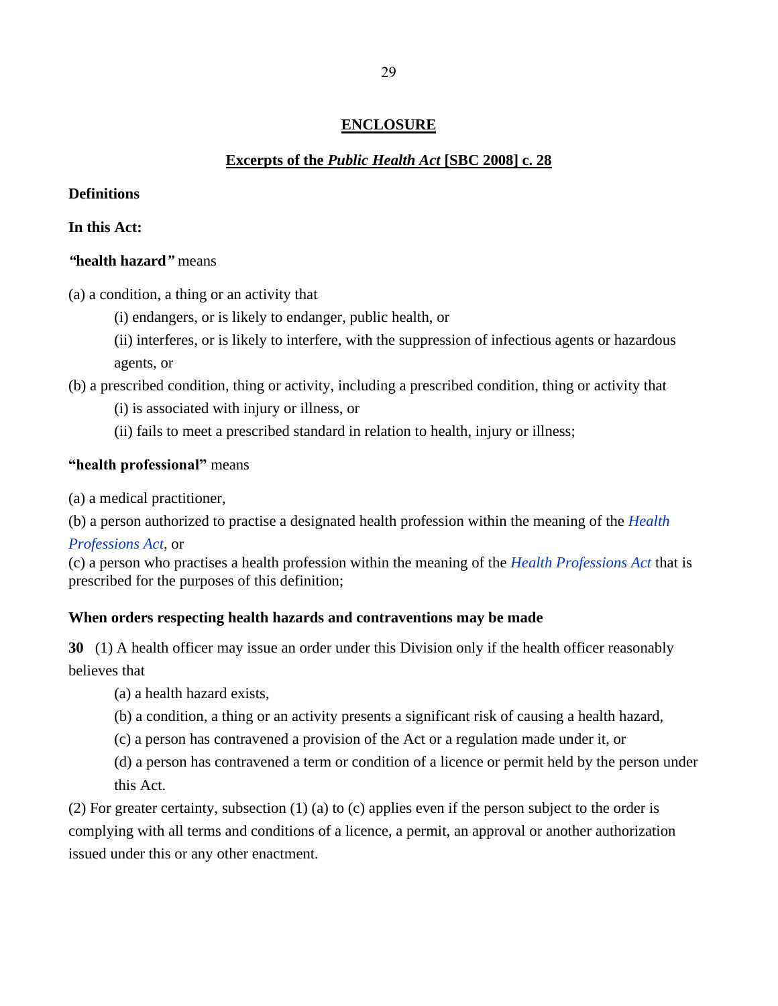# **ENCLOSURE**

# **Excerpts of the** *Public Health Act* **[SBC 2008] c. 28**

### **Definitions**

### **In this Act:**

### *"***health hazard***"* means

(a) a condition, a thing or an activity that

(i) endangers, or is likely to endanger, public health, or

(ii) interferes, or is likely to interfere, with the suppression of infectious agents or hazardous agents, or

(b) a prescribed condition, thing or activity, including a prescribed condition, thing or activity that

- (i) is associated with injury or illness, or
- (ii) fails to meet a prescribed standard in relation to health, injury or illness;

# **"health professional"** means

(a) a medical practitioner,

(b) a person authorized to practise a designated health profession within the meaning of the *[Health](https://www.bclaws.gov.bc.ca/civix/document/id/complete/statreg/96183_01)* 

# *[Professions Act](https://www.bclaws.gov.bc.ca/civix/document/id/complete/statreg/96183_01)*, or

(c) a person who practises a health profession within the meaning of the *[Health Professions Act](https://www.bclaws.gov.bc.ca/civix/document/id/complete/statreg/96183_01)* that is prescribed for the purposes of this definition;

# **When orders respecting health hazards and contraventions may be made**

**30** (1) A health officer may issue an order under this Division only if the health officer reasonably believes that

(a) a health hazard exists,

- (b) a condition, a thing or an activity presents a significant risk of causing a health hazard,
- (c) a person has contravened a provision of the Act or a regulation made under it, or

(d) a person has contravened a term or condition of a licence or permit held by the person under this Act.

(2) For greater certainty, subsection (1) (a) to (c) applies even if the person subject to the order is complying with all terms and conditions of a licence, a permit, an approval or another authorization issued under this or any other enactment.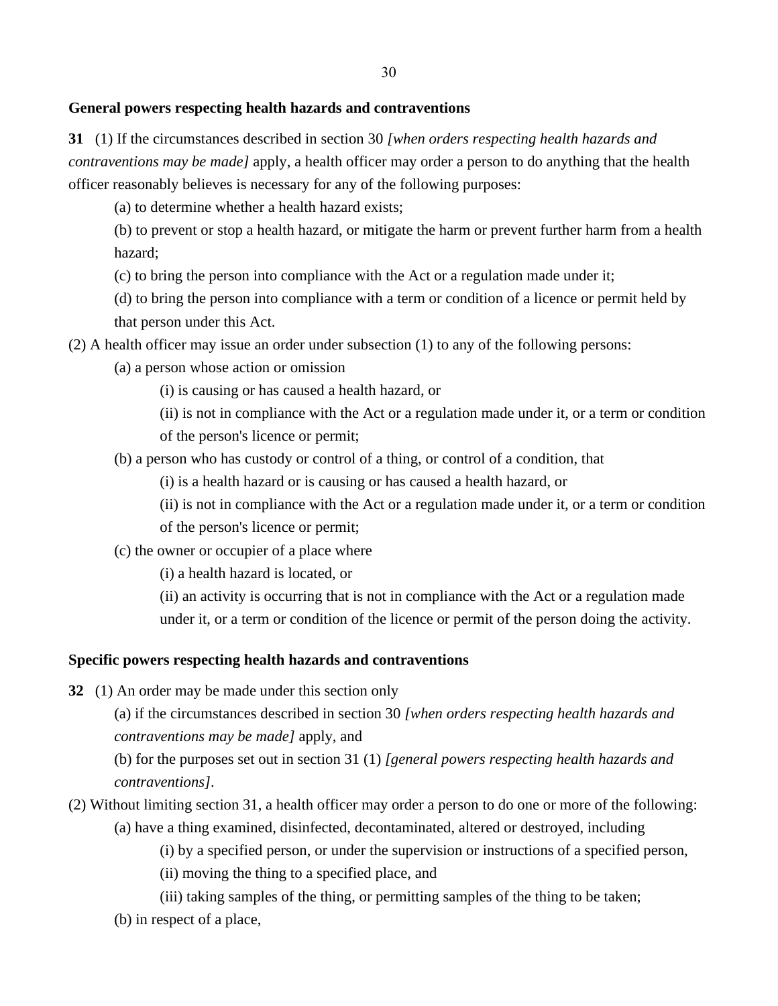### **General powers respecting health hazards and contraventions**

**31** (1) If the circumstances described in section 30 *[when orders respecting health hazards and contraventions may be made]* apply, a health officer may order a person to do anything that the health officer reasonably believes is necessary for any of the following purposes:

(a) to determine whether a health hazard exists;

(b) to prevent or stop a health hazard, or mitigate the harm or prevent further harm from a health hazard;

(c) to bring the person into compliance with the Act or a regulation made under it;

(d) to bring the person into compliance with a term or condition of a licence or permit held by that person under this Act.

(2) A health officer may issue an order under subsection (1) to any of the following persons:

(a) a person whose action or omission

(i) is causing or has caused a health hazard, or

(ii) is not in compliance with the Act or a regulation made under it, or a term or condition of the person's licence or permit;

(b) a person who has custody or control of a thing, or control of a condition, that

(i) is a health hazard or is causing or has caused a health hazard, or

(ii) is not in compliance with the Act or a regulation made under it, or a term or condition

of the person's licence or permit;

(c) the owner or occupier of a place where

(i) a health hazard is located, or

(ii) an activity is occurring that is not in compliance with the Act or a regulation made under it, or a term or condition of the licence or permit of the person doing the activity.

# **Specific powers respecting health hazards and contraventions**

**32** (1) An order may be made under this section only

(a) if the circumstances described in section 30 *[when orders respecting health hazards and contraventions may be made]* apply, and

(b) for the purposes set out in section 31 (1) *[general powers respecting health hazards and contraventions]*.

(2) Without limiting section 31, a health officer may order a person to do one or more of the following:

(a) have a thing examined, disinfected, decontaminated, altered or destroyed, including

(i) by a specified person, or under the supervision or instructions of a specified person,

(ii) moving the thing to a specified place, and

(iii) taking samples of the thing, or permitting samples of the thing to be taken;

(b) in respect of a place,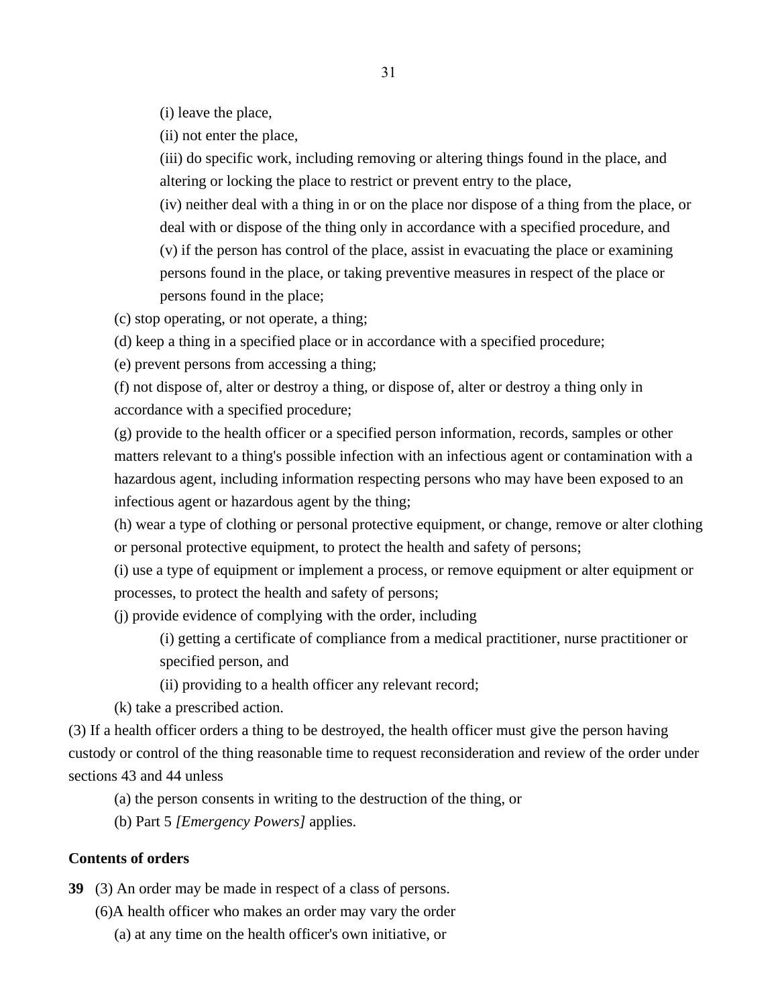(i) leave the place,

(ii) not enter the place,

(iii) do specific work, including removing or altering things found in the place, and altering or locking the place to restrict or prevent entry to the place,

(iv) neither deal with a thing in or on the place nor dispose of a thing from the place, or deal with or dispose of the thing only in accordance with a specified procedure, and (v) if the person has control of the place, assist in evacuating the place or examining persons found in the place, or taking preventive measures in respect of the place or persons found in the place;

(c) stop operating, or not operate, a thing;

(d) keep a thing in a specified place or in accordance with a specified procedure;

(e) prevent persons from accessing a thing;

(f) not dispose of, alter or destroy a thing, or dispose of, alter or destroy a thing only in accordance with a specified procedure;

(g) provide to the health officer or a specified person information, records, samples or other matters relevant to a thing's possible infection with an infectious agent or contamination with a hazardous agent, including information respecting persons who may have been exposed to an infectious agent or hazardous agent by the thing;

(h) wear a type of clothing or personal protective equipment, or change, remove or alter clothing or personal protective equipment, to protect the health and safety of persons;

(i) use a type of equipment or implement a process, or remove equipment or alter equipment or processes, to protect the health and safety of persons;

(j) provide evidence of complying with the order, including

(i) getting a certificate of compliance from a medical practitioner, nurse practitioner or specified person, and

(ii) providing to a health officer any relevant record;

(k) take a prescribed action.

(3) If a health officer orders a thing to be destroyed, the health officer must give the person having custody or control of the thing reasonable time to request reconsideration and review of the order under sections 43 and 44 unless

(a) the person consents in writing to the destruction of the thing, or

(b) Part 5 *[Emergency Powers]* applies.

### **Contents of orders**

**39** (3) An order may be made in respect of a class of persons.

(6)A health officer who makes an order may vary the order

(a) at any time on the health officer's own initiative, or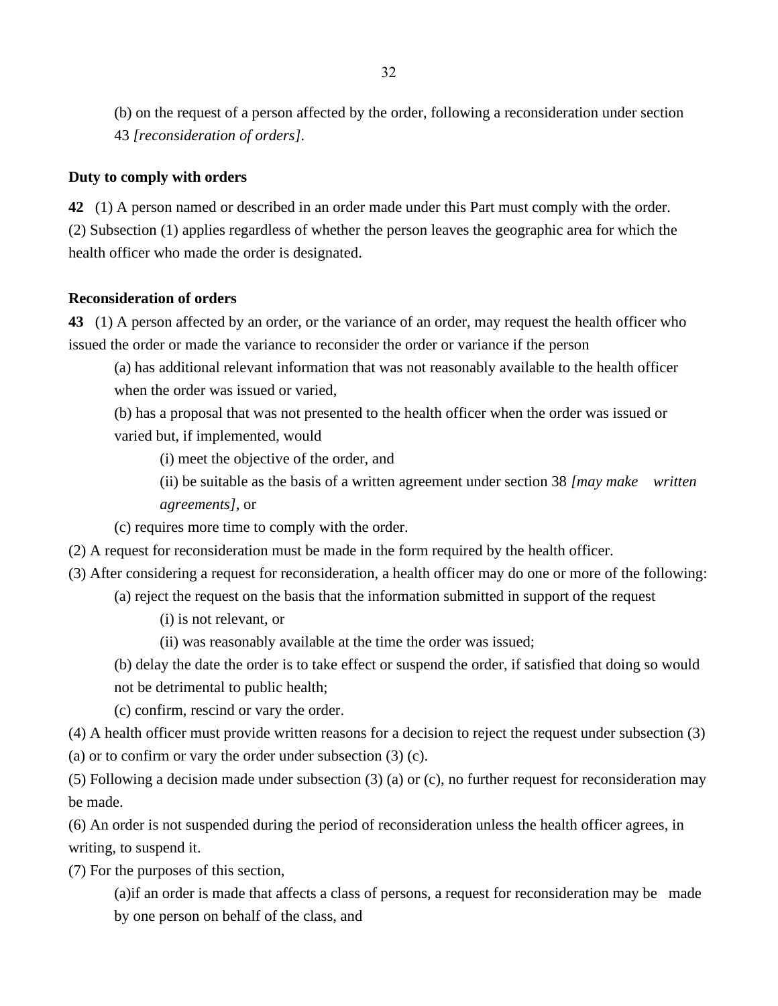(b) on the request of a person affected by the order, following a reconsideration under section 43 *[reconsideration of orders]*.

### **Duty to comply with orders**

**42** (1) A person named or described in an order made under this Part must comply with the order. (2) Subsection (1) applies regardless of whether the person leaves the geographic area for which the health officer who made the order is designated.

### **Reconsideration of orders**

**43** (1) A person affected by an order, or the variance of an order, may request the health officer who issued the order or made the variance to reconsider the order or variance if the person

(a) has additional relevant information that was not reasonably available to the health officer when the order was issued or varied,

(b) has a proposal that was not presented to the health officer when the order was issued or varied but, if implemented, would

(i) meet the objective of the order, and

(ii) be suitable as the basis of a written agreement under section 38 *[may make written agreements]*, or

(c) requires more time to comply with the order.

(2) A request for reconsideration must be made in the form required by the health officer.

- (3) After considering a request for reconsideration, a health officer may do one or more of the following:
	- (a) reject the request on the basis that the information submitted in support of the request
		- (i) is not relevant, or
		- (ii) was reasonably available at the time the order was issued;

(b) delay the date the order is to take effect or suspend the order, if satisfied that doing so would not be detrimental to public health;

(c) confirm, rescind or vary the order.

(4) A health officer must provide written reasons for a decision to reject the request under subsection (3)

(a) or to confirm or vary the order under subsection (3) (c).

(5) Following a decision made under subsection (3) (a) or (c), no further request for reconsideration may be made.

(6) An order is not suspended during the period of reconsideration unless the health officer agrees, in writing, to suspend it.

(7) For the purposes of this section,

(a)if an order is made that affects a class of persons, a request for reconsideration may be made by one person on behalf of the class, and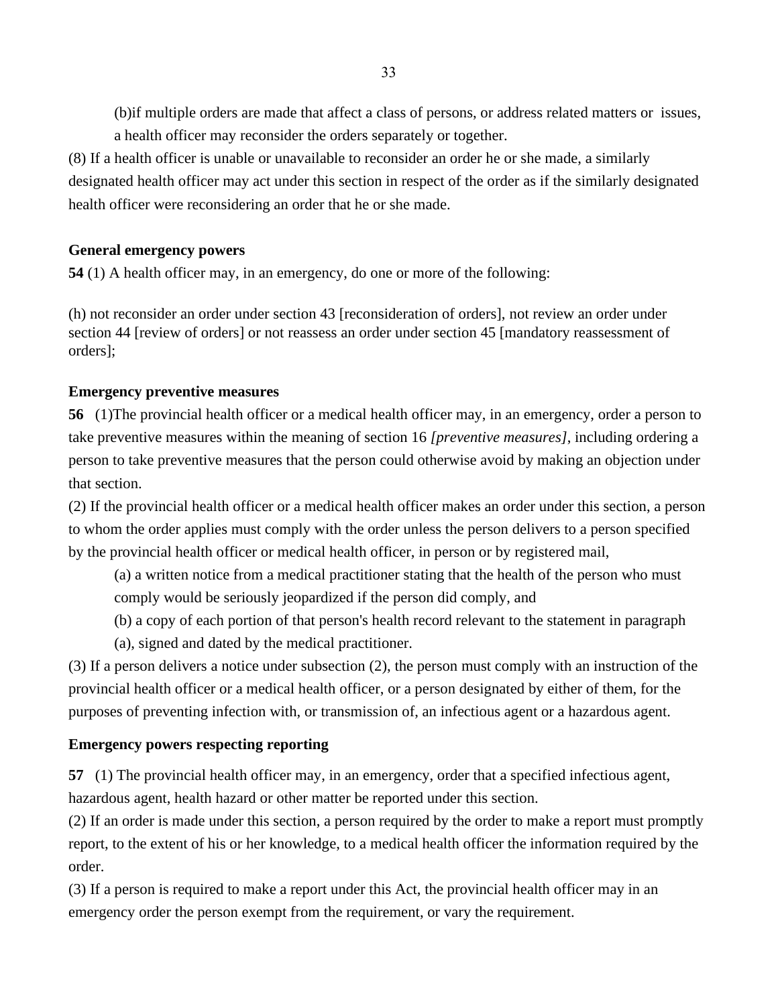(b)if multiple orders are made that affect a class of persons, or address related matters or issues, a health officer may reconsider the orders separately or together.

(8) If a health officer is unable or unavailable to reconsider an order he or she made, a similarly designated health officer may act under this section in respect of the order as if the similarly designated health officer were reconsidering an order that he or she made.

### **General emergency powers**

**54** (1) A health officer may, in an emergency, do one or more of the following:

(h) not reconsider an order under section 43 [reconsideration of orders], not review an order under section 44 [review of orders] or not reassess an order under section 45 [mandatory reassessment of orders];

### **Emergency preventive measures**

**56** (1)The provincial health officer or a medical health officer may, in an emergency, order a person to take preventive measures within the meaning of section 16 *[preventive measures]*, including ordering a person to take preventive measures that the person could otherwise avoid by making an objection under that section.

(2) If the provincial health officer or a medical health officer makes an order under this section, a person to whom the order applies must comply with the order unless the person delivers to a person specified by the provincial health officer or medical health officer, in person or by registered mail,

(a) a written notice from a medical practitioner stating that the health of the person who must comply would be seriously jeopardized if the person did comply, and

(b) a copy of each portion of that person's health record relevant to the statement in paragraph

(a), signed and dated by the medical practitioner.

(3) If a person delivers a notice under subsection (2), the person must comply with an instruction of the provincial health officer or a medical health officer, or a person designated by either of them, for the purposes of preventing infection with, or transmission of, an infectious agent or a hazardous agent.

# **Emergency powers respecting reporting**

**57** (1) The provincial health officer may, in an emergency, order that a specified infectious agent, hazardous agent, health hazard or other matter be reported under this section.

(2) If an order is made under this section, a person required by the order to make a report must promptly report, to the extent of his or her knowledge, to a medical health officer the information required by the order.

(3) If a person is required to make a report under this Act, the provincial health officer may in an emergency order the person exempt from the requirement, or vary the requirement.